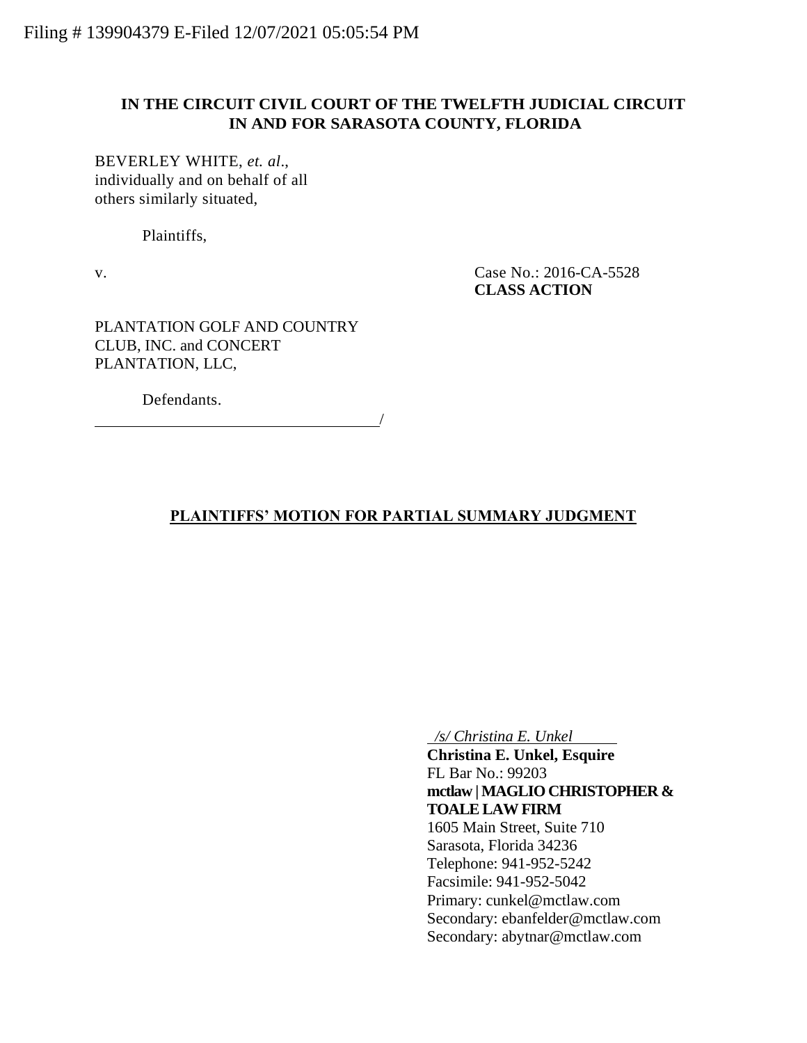### **IN THE CIRCUIT CIVIL COURT OF THE TWELFTH JUDICIAL CIRCUIT IN AND FOR SARASOTA COUNTY, FLORIDA**

BEVERLEY WHITE, *et. al*., individually and on behalf of all others similarly situated,

Plaintiffs,

v. Case No.: 2016-CA-5528 **CLASS ACTION**

PLANTATION GOLF AND COUNTRY CLUB, INC. and CONCERT PLANTATION, LLC,

Defendants.

## **PLAINTIFFS' MOTION FOR PARTIAL SUMMARY JUDGMENT**

/

 */s/ Christina E. Unkel*

**Christina E. Unkel, Esquire** FL Bar No.: 99203 **mctlaw | MAGLIO CHRISTOPHER & TOALE LAW FIRM** 1605 Main Street, Suite 710 Sarasota, Florida 34236 Telephone: 941-952-5242 Facsimile: 941-952-5042 Primary: cunkel@mctlaw.com Secondary: ebanfelder@mctlaw.com Secondary: abytnar@mctlaw.com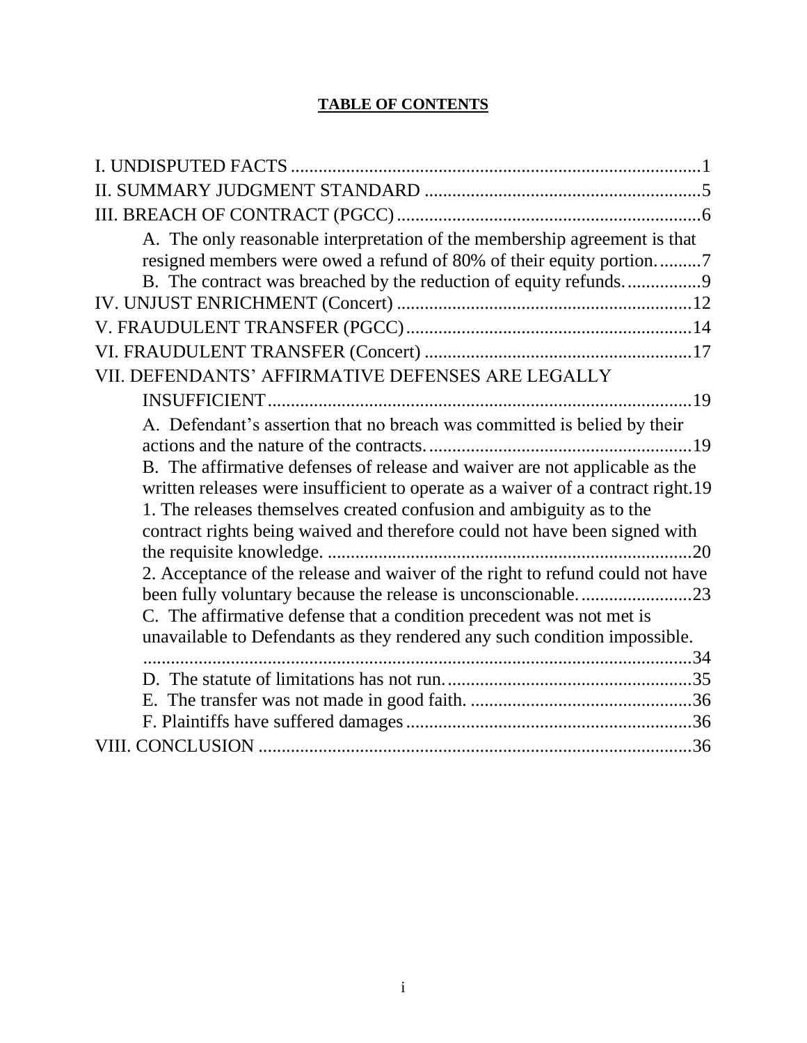# **TABLE OF CONTENTS**

| A. The only reasonable interpretation of the membership agreement is that        |
|----------------------------------------------------------------------------------|
| resigned members were owed a refund of 80% of their equity portion7              |
| B. The contract was breached by the reduction of equity refunds9                 |
|                                                                                  |
|                                                                                  |
|                                                                                  |
| VII. DEFENDANTS' AFFIRMATIVE DEFENSES ARE LEGALLY                                |
|                                                                                  |
| A. Defendant's assertion that no breach was committed is belied by their         |
|                                                                                  |
| B. The affirmative defenses of release and waiver are not applicable as the      |
| written releases were insufficient to operate as a waiver of a contract right.19 |
| 1. The releases themselves created confusion and ambiguity as to the             |
| contract rights being waived and therefore could not have been signed with       |
|                                                                                  |
| 2. Acceptance of the release and waiver of the right to refund could not have    |
|                                                                                  |
| C. The affirmative defense that a condition precedent was not met is             |
| unavailable to Defendants as they rendered any such condition impossible.        |
|                                                                                  |
|                                                                                  |
|                                                                                  |
|                                                                                  |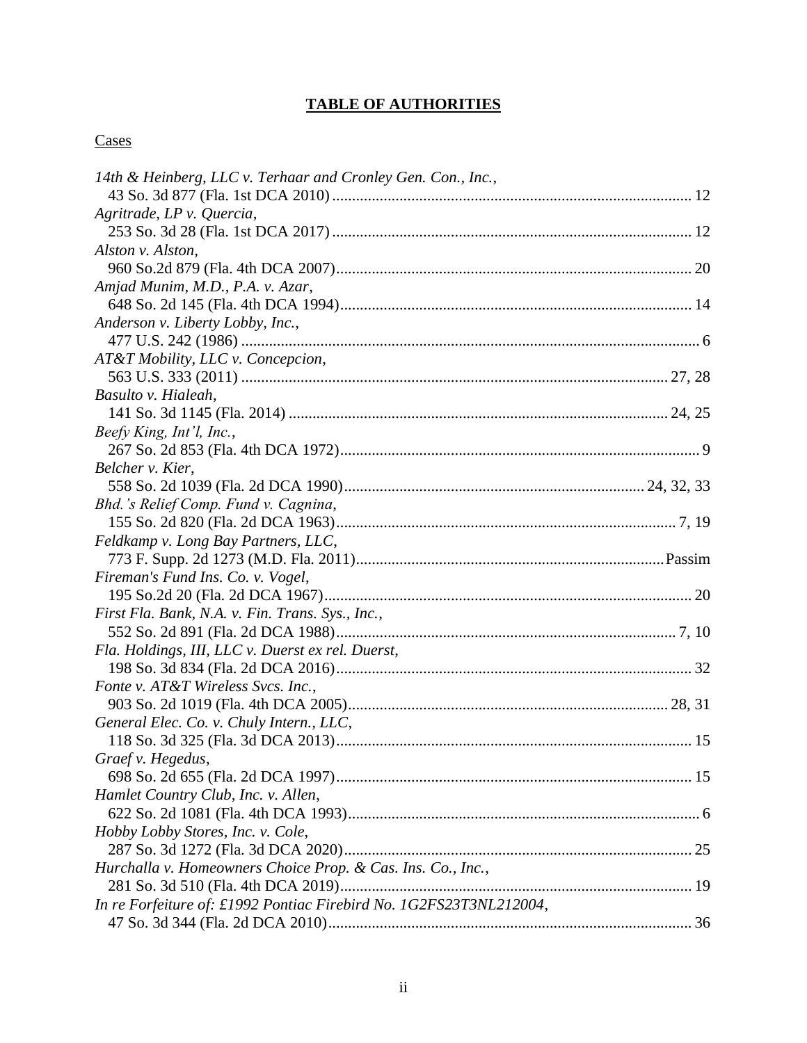# **TABLE OF AUTHORITIES**

# **Cases**

| 14th & Heinberg, LLC v. Terhaar and Cronley Gen. Con., Inc.,       |  |
|--------------------------------------------------------------------|--|
|                                                                    |  |
| Agritrade, LP v. Quercia,                                          |  |
|                                                                    |  |
| Alston v. Alston,                                                  |  |
|                                                                    |  |
| Amjad Munim, M.D., P.A. v. Azar,                                   |  |
|                                                                    |  |
| Anderson v. Liberty Lobby, Inc.,                                   |  |
|                                                                    |  |
| AT&T Mobility, LLC v. Concepcion,                                  |  |
|                                                                    |  |
| Basulto v. Hialeah,                                                |  |
|                                                                    |  |
| Beefy King, Int'l, Inc.,                                           |  |
|                                                                    |  |
| Belcher v. Kier,                                                   |  |
|                                                                    |  |
| Bhd.'s Relief Comp. Fund v. Cagnina,                               |  |
|                                                                    |  |
| Feldkamp v. Long Bay Partners, LLC,                                |  |
|                                                                    |  |
| Fireman's Fund Ins. Co. v. Vogel,                                  |  |
|                                                                    |  |
| First Fla. Bank, N.A. v. Fin. Trans. Sys., Inc.,                   |  |
|                                                                    |  |
| Fla. Holdings, III, LLC v. Duerst ex rel. Duerst,                  |  |
|                                                                    |  |
| Fonte v. AT&T Wireless Svcs. Inc.,                                 |  |
|                                                                    |  |
| General Elec. Co. v. Chuly Intern., LLC,                           |  |
|                                                                    |  |
| Graef v. Hegedus,                                                  |  |
|                                                                    |  |
| Hamlet Country Club, Inc. v. Allen,                                |  |
|                                                                    |  |
| Hobby Lobby Stores, Inc. v. Cole,                                  |  |
|                                                                    |  |
| Hurchalla v. Homeowners Choice Prop. & Cas. Ins. Co., Inc.,        |  |
|                                                                    |  |
| In re Forfeiture of: £1992 Pontiac Firebird No. 1G2FS23T3NL212004, |  |
|                                                                    |  |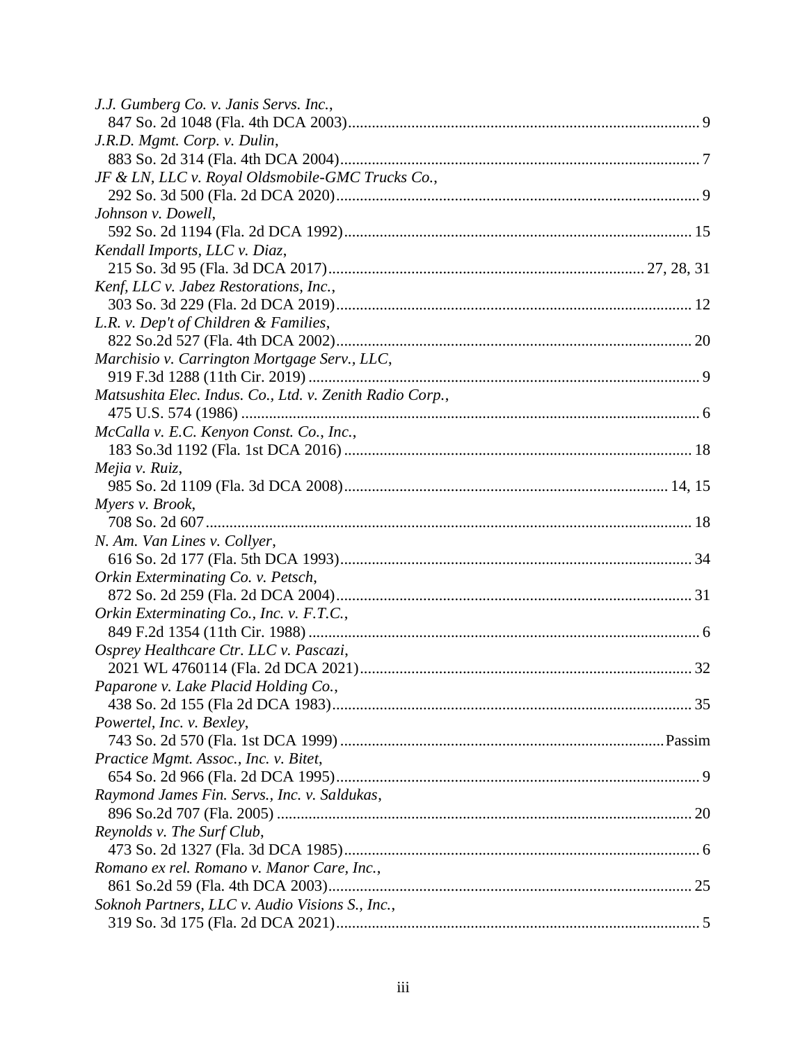| J.J. Gumberg Co. v. Janis Servs. Inc.,                   |  |
|----------------------------------------------------------|--|
|                                                          |  |
| J.R.D. Mgmt. Corp. v. Dulin,                             |  |
|                                                          |  |
| JF & LN, LLC v. Royal Oldsmobile-GMC Trucks Co.,         |  |
|                                                          |  |
| Johnson v. Dowell,                                       |  |
|                                                          |  |
| Kendall Imports, LLC v. Diaz,                            |  |
|                                                          |  |
| Kenf, LLC v. Jabez Restorations, Inc.,                   |  |
|                                                          |  |
| L.R. v. Dep't of Children & Families,                    |  |
|                                                          |  |
| Marchisio v. Carrington Mortgage Serv., LLC,             |  |
|                                                          |  |
| Matsushita Elec. Indus. Co., Ltd. v. Zenith Radio Corp., |  |
|                                                          |  |
| McCalla v. E.C. Kenyon Const. Co., Inc.,                 |  |
|                                                          |  |
| Mejia v. Ruiz,                                           |  |
|                                                          |  |
| Myers v. Brook,                                          |  |
|                                                          |  |
| N. Am. Van Lines v. Collyer,                             |  |
|                                                          |  |
| Orkin Exterminating Co. v. Petsch,                       |  |
|                                                          |  |
| Orkin Exterminating Co., Inc. v. F.T.C.,                 |  |
|                                                          |  |
| Osprey Healthcare Ctr. LLC v. Pascazi,                   |  |
|                                                          |  |
| Paparone v. Lake Placid Holding Co.,                     |  |
|                                                          |  |
| Powertel, Inc. v. Bexley,                                |  |
|                                                          |  |
| Practice Mgmt. Assoc., Inc. v. Bitet,                    |  |
|                                                          |  |
| Raymond James Fin. Servs., Inc. v. Saldukas,             |  |
|                                                          |  |
| Reynolds v. The Surf Club,                               |  |
|                                                          |  |
| Romano ex rel. Romano v. Manor Care, Inc.,               |  |
|                                                          |  |
| Soknoh Partners, LLC v. Audio Visions S., Inc.,          |  |
|                                                          |  |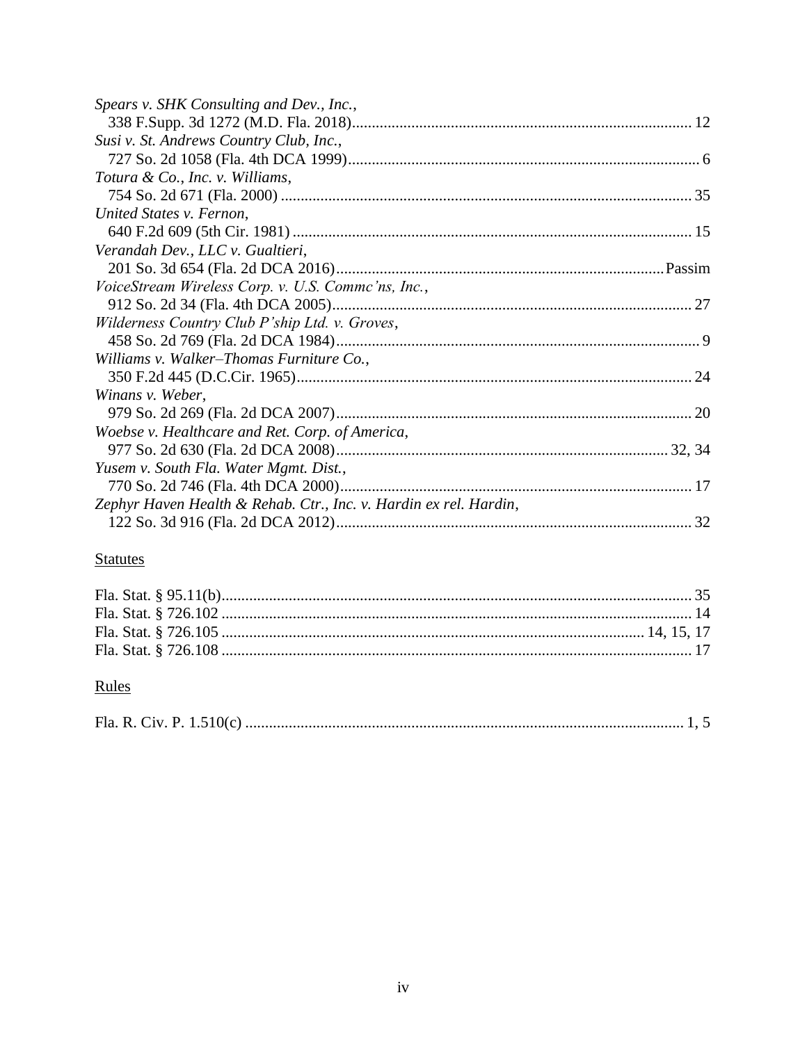| Spears v. SHK Consulting and Dev., Inc.,                          |  |
|-------------------------------------------------------------------|--|
|                                                                   |  |
| Susi v. St. Andrews Country Club, Inc.,                           |  |
|                                                                   |  |
| Totura & Co., Inc. v. Williams,                                   |  |
|                                                                   |  |
| United States v. Fernon,                                          |  |
|                                                                   |  |
| Verandah Dev., LLC v. Gualtieri,                                  |  |
|                                                                   |  |
| VoiceStream Wireless Corp. v. U.S. Commc'ns, Inc.,                |  |
|                                                                   |  |
| Wilderness Country Club P'ship Ltd. v. Groves,                    |  |
|                                                                   |  |
| Williams v. Walker–Thomas Furniture Co.,                          |  |
|                                                                   |  |
| Winans v. Weber,                                                  |  |
|                                                                   |  |
| Woebse v. Healthcare and Ret. Corp. of America,                   |  |
|                                                                   |  |
| Yusem v. South Fla. Water Mgmt. Dist.,                            |  |
|                                                                   |  |
| Zephyr Haven Health & Rehab. Ctr., Inc. v. Hardin ex rel. Hardin, |  |
|                                                                   |  |
|                                                                   |  |

# **Statutes**

# Rules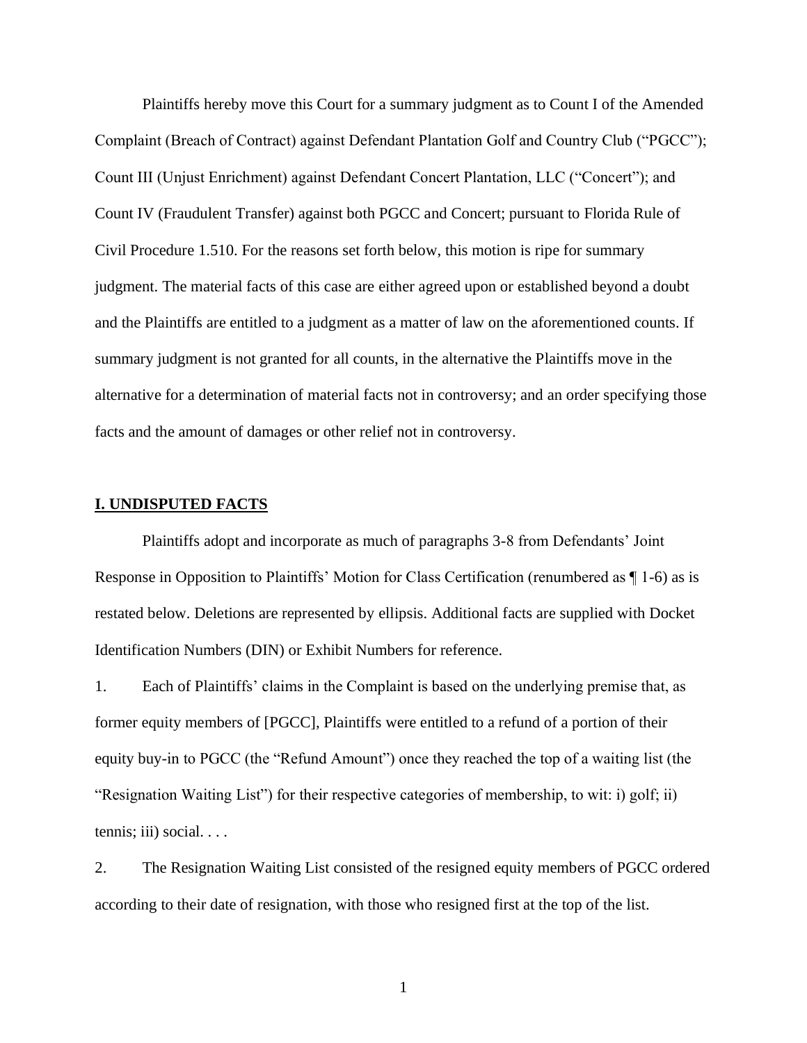Plaintiffs hereby move this Court for a summary judgment as to Count I of the Amended Complaint (Breach of Contract) against Defendant Plantation Golf and Country Club ("PGCC"); Count III (Unjust Enrichment) against Defendant Concert Plantation, LLC ("Concert"); and Count IV (Fraudulent Transfer) against both PGCC and Concert; pursuant to Florida Rule of Civil Procedure 1.510. For the reasons set forth below, this motion is ripe for summary judgment. The material facts of this case are either agreed upon or established beyond a doubt and the Plaintiffs are entitled to a judgment as a matter of law on the aforementioned counts. If summary judgment is not granted for all counts, in the alternative the Plaintiffs move in the alternative for a determination of material facts not in controversy; and an order specifying those facts and the amount of damages or other relief not in controversy.

#### **I. UNDISPUTED FACTS**

Plaintiffs adopt and incorporate as much of paragraphs 3-8 from Defendants' Joint Response in Opposition to Plaintiffs' Motion for Class Certification (renumbered as ¶ 1-6) as is restated below. Deletions are represented by ellipsis. Additional facts are supplied with Docket Identification Numbers (DIN) or Exhibit Numbers for reference.

1. Each of Plaintiffs' claims in the Complaint is based on the underlying premise that, as former equity members of [PGCC], Plaintiffs were entitled to a refund of a portion of their equity buy-in to PGCC (the "Refund Amount") once they reached the top of a waiting list (the "Resignation Waiting List") for their respective categories of membership, to wit: i) golf; ii) tennis; iii) social. . . .

2. The Resignation Waiting List consisted of the resigned equity members of PGCC ordered according to their date of resignation, with those who resigned first at the top of the list.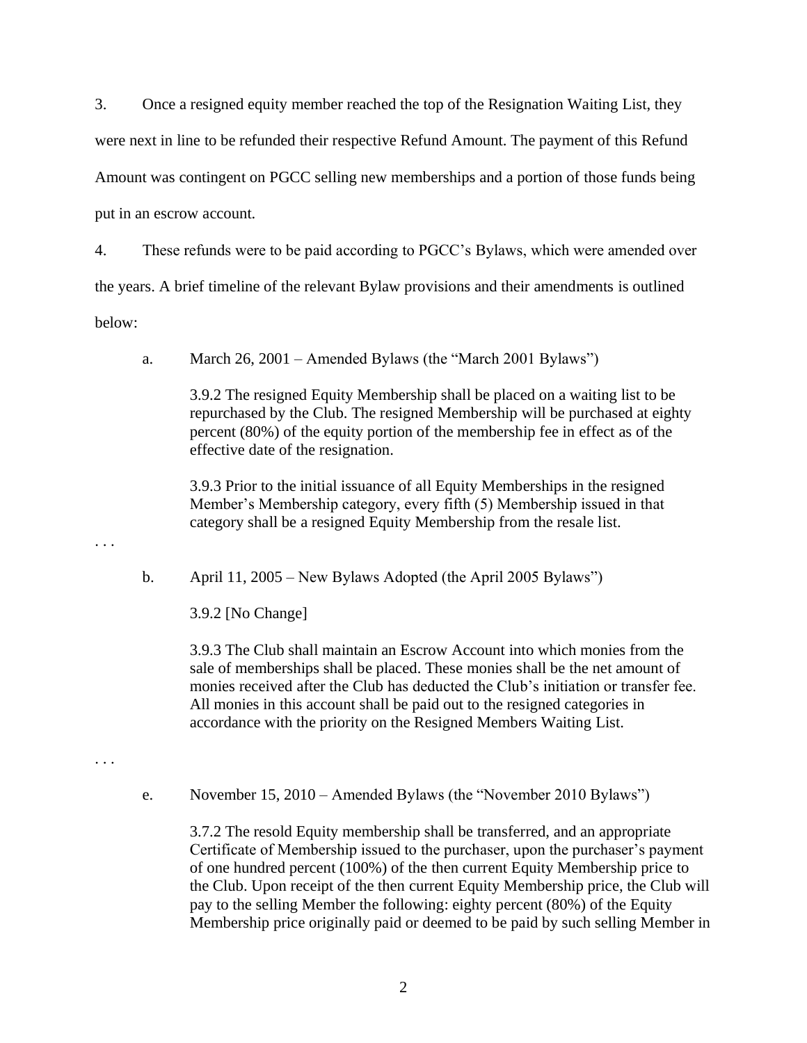3. Once a resigned equity member reached the top of the Resignation Waiting List, they were next in line to be refunded their respective Refund Amount. The payment of this Refund Amount was contingent on PGCC selling new memberships and a portion of those funds being put in an escrow account.

4. These refunds were to be paid according to PGCC's Bylaws, which were amended over the years. A brief timeline of the relevant Bylaw provisions and their amendments is outlined below:

a. March 26, 2001 – Amended Bylaws (the "March 2001 Bylaws")

3.9.2 The resigned Equity Membership shall be placed on a waiting list to be repurchased by the Club. The resigned Membership will be purchased at eighty percent (80%) of the equity portion of the membership fee in effect as of the effective date of the resignation.

3.9.3 Prior to the initial issuance of all Equity Memberships in the resigned Member's Membership category, every fifth (5) Membership issued in that category shall be a resigned Equity Membership from the resale list.

b. April 11, 2005 – New Bylaws Adopted (the April 2005 Bylaws")

3.9.2 [No Change]

3.9.3 The Club shall maintain an Escrow Account into which monies from the sale of memberships shall be placed. These monies shall be the net amount of monies received after the Club has deducted the Club's initiation or transfer fee. All monies in this account shall be paid out to the resigned categories in accordance with the priority on the Resigned Members Waiting List.

. . .

. . .

e. November 15, 2010 – Amended Bylaws (the "November 2010 Bylaws")

3.7.2 The resold Equity membership shall be transferred, and an appropriate Certificate of Membership issued to the purchaser, upon the purchaser's payment of one hundred percent (100%) of the then current Equity Membership price to the Club. Upon receipt of the then current Equity Membership price, the Club will pay to the selling Member the following: eighty percent (80%) of the Equity Membership price originally paid or deemed to be paid by such selling Member in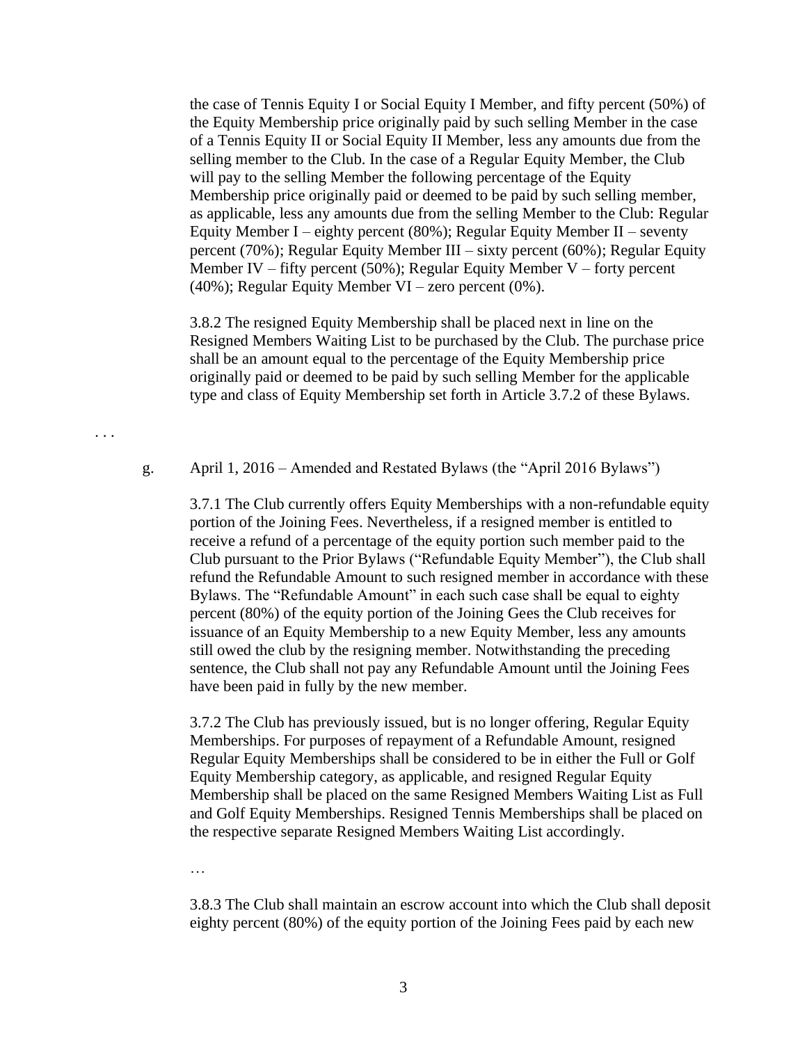the case of Tennis Equity I or Social Equity I Member, and fifty percent (50%) of the Equity Membership price originally paid by such selling Member in the case of a Tennis Equity II or Social Equity II Member, less any amounts due from the selling member to the Club. In the case of a Regular Equity Member, the Club will pay to the selling Member the following percentage of the Equity Membership price originally paid or deemed to be paid by such selling member, as applicable, less any amounts due from the selling Member to the Club: Regular Equity Member I – eighty percent (80%); Regular Equity Member II – seventy percent (70%); Regular Equity Member III – sixty percent (60%); Regular Equity Member IV – fifty percent (50%); Regular Equity Member V – forty percent (40%); Regular Equity Member VI – zero percent (0%).

3.8.2 The resigned Equity Membership shall be placed next in line on the Resigned Members Waiting List to be purchased by the Club. The purchase price shall be an amount equal to the percentage of the Equity Membership price originally paid or deemed to be paid by such selling Member for the applicable type and class of Equity Membership set forth in Article 3.7.2 of these Bylaws.

. . .

g. April 1, 2016 – Amended and Restated Bylaws (the "April 2016 Bylaws")

3.7.1 The Club currently offers Equity Memberships with a non-refundable equity portion of the Joining Fees. Nevertheless, if a resigned member is entitled to receive a refund of a percentage of the equity portion such member paid to the Club pursuant to the Prior Bylaws ("Refundable Equity Member"), the Club shall refund the Refundable Amount to such resigned member in accordance with these Bylaws. The "Refundable Amount" in each such case shall be equal to eighty percent (80%) of the equity portion of the Joining Gees the Club receives for issuance of an Equity Membership to a new Equity Member, less any amounts still owed the club by the resigning member. Notwithstanding the preceding sentence, the Club shall not pay any Refundable Amount until the Joining Fees have been paid in fully by the new member.

3.7.2 The Club has previously issued, but is no longer offering, Regular Equity Memberships. For purposes of repayment of a Refundable Amount, resigned Regular Equity Memberships shall be considered to be in either the Full or Golf Equity Membership category, as applicable, and resigned Regular Equity Membership shall be placed on the same Resigned Members Waiting List as Full and Golf Equity Memberships. Resigned Tennis Memberships shall be placed on the respective separate Resigned Members Waiting List accordingly.

…

3.8.3 The Club shall maintain an escrow account into which the Club shall deposit eighty percent (80%) of the equity portion of the Joining Fees paid by each new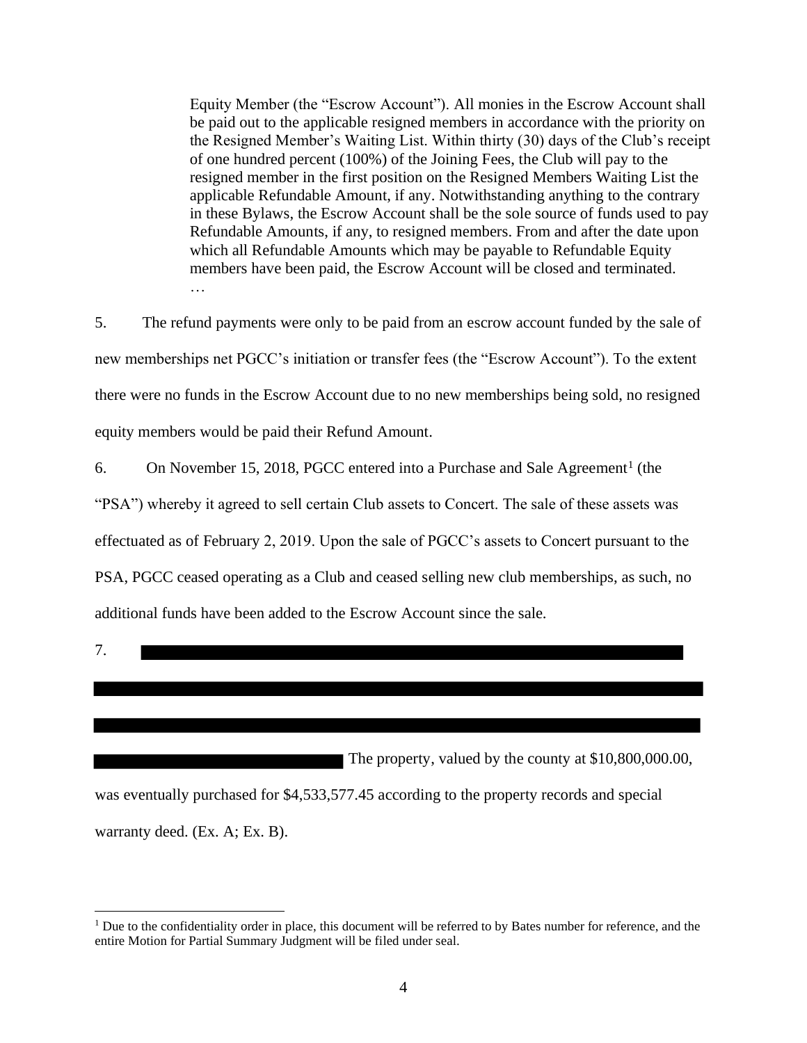Equity Member (the "Escrow Account"). All monies in the Escrow Account shall be paid out to the applicable resigned members in accordance with the priority on the Resigned Member's Waiting List. Within thirty (30) days of the Club's receipt of one hundred percent (100%) of the Joining Fees, the Club will pay to the resigned member in the first position on the Resigned Members Waiting List the applicable Refundable Amount, if any. Notwithstanding anything to the contrary in these Bylaws, the Escrow Account shall be the sole source of funds used to pay Refundable Amounts, if any, to resigned members. From and after the date upon which all Refundable Amounts which may be payable to Refundable Equity members have been paid, the Escrow Account will be closed and terminated. …

5. The refund payments were only to be paid from an escrow account funded by the sale of new memberships net PGCC's initiation or transfer fees (the "Escrow Account"). To the extent there were no funds in the Escrow Account due to no new memberships being sold, no resigned equity members would be paid their Refund Amount.

6. On November 15, 2018, PGCC entered into a Purchase and Sale Agreement<sup>1</sup> (the

"PSA") whereby it agreed to sell certain Club assets to Concert. The sale of these assets was

effectuated as of February 2, 2019. Upon the sale of PGCC's assets to Concert pursuant to the

PSA, PGCC ceased operating as a Club and ceased selling new club memberships, as such, no

additional funds have been added to the Escrow Account since the sale.

7.

 The property, valued by the county at \$10,800,000.00, was eventually purchased for \$4,533,577.45 according to the property records and special warranty deed. (Ex. A; Ex. B).

<sup>&</sup>lt;sup>1</sup> Due to the confidentiality order in place, this document will be referred to by Bates number for reference, and the entire Motion for Partial Summary Judgment will be filed under seal.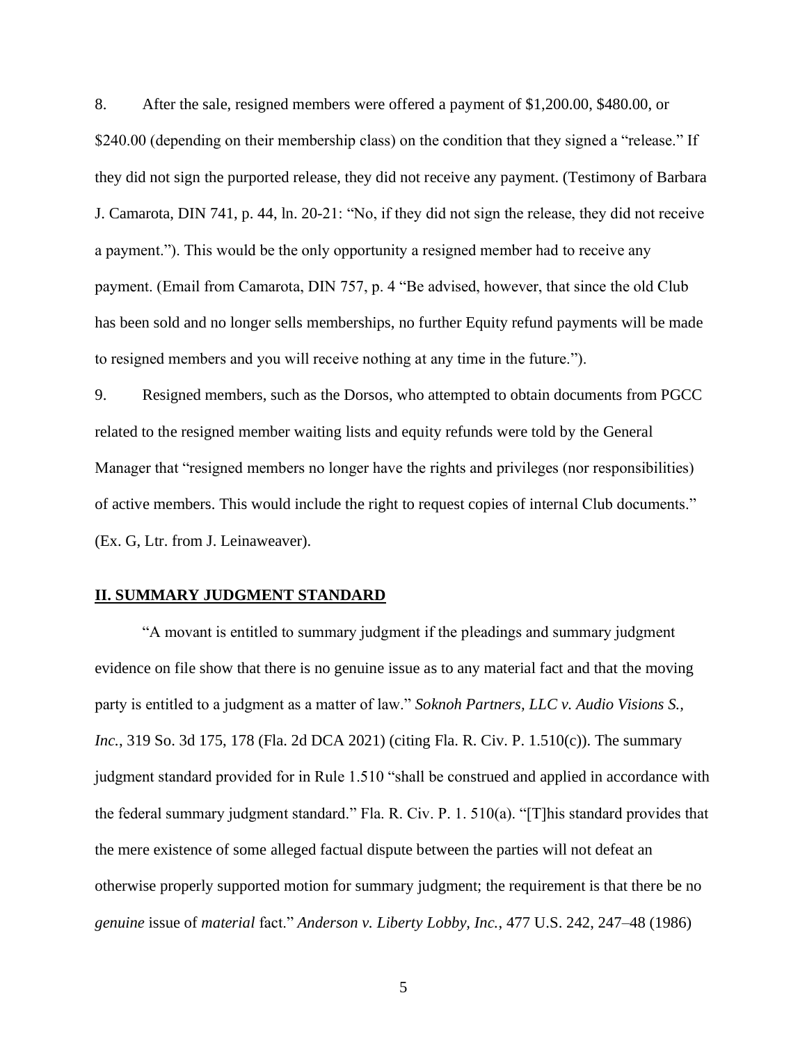8. After the sale, resigned members were offered a payment of \$1,200.00, \$480.00, or \$240.00 (depending on their membership class) on the condition that they signed a "release." If they did not sign the purported release, they did not receive any payment. (Testimony of Barbara J. Camarota, DIN 741, p. 44, ln. 20-21: "No, if they did not sign the release, they did not receive a payment."). This would be the only opportunity a resigned member had to receive any payment. (Email from Camarota, DIN 757, p. 4 "Be advised, however, that since the old Club has been sold and no longer sells memberships, no further Equity refund payments will be made to resigned members and you will receive nothing at any time in the future.").

9. Resigned members, such as the Dorsos, who attempted to obtain documents from PGCC related to the resigned member waiting lists and equity refunds were told by the General Manager that "resigned members no longer have the rights and privileges (nor responsibilities) of active members. This would include the right to request copies of internal Club documents." (Ex. G, Ltr. from J. Leinaweaver).

### **II. SUMMARY JUDGMENT STANDARD**

"A movant is entitled to summary judgment if the pleadings and summary judgment evidence on file show that there is no genuine issue as to any material fact and that the moving party is entitled to a judgment as a matter of law." *Soknoh Partners, LLC v. Audio Visions S., Inc.*, 319 So. 3d 175, 178 (Fla. 2d DCA 2021) (citing Fla. R. Civ. P. 1.510(c)). The summary judgment standard provided for in Rule 1.510 "shall be construed and applied in accordance with the federal summary judgment standard." Fla. R. Civ. P. 1. 510(a). "[T]his standard provides that the mere existence of some alleged factual dispute between the parties will not defeat an otherwise properly supported motion for summary judgment; the requirement is that there be no *genuine* issue of *material* fact." *Anderson v. Liberty Lobby, Inc.*, 477 U.S. 242, 247–48 (1986)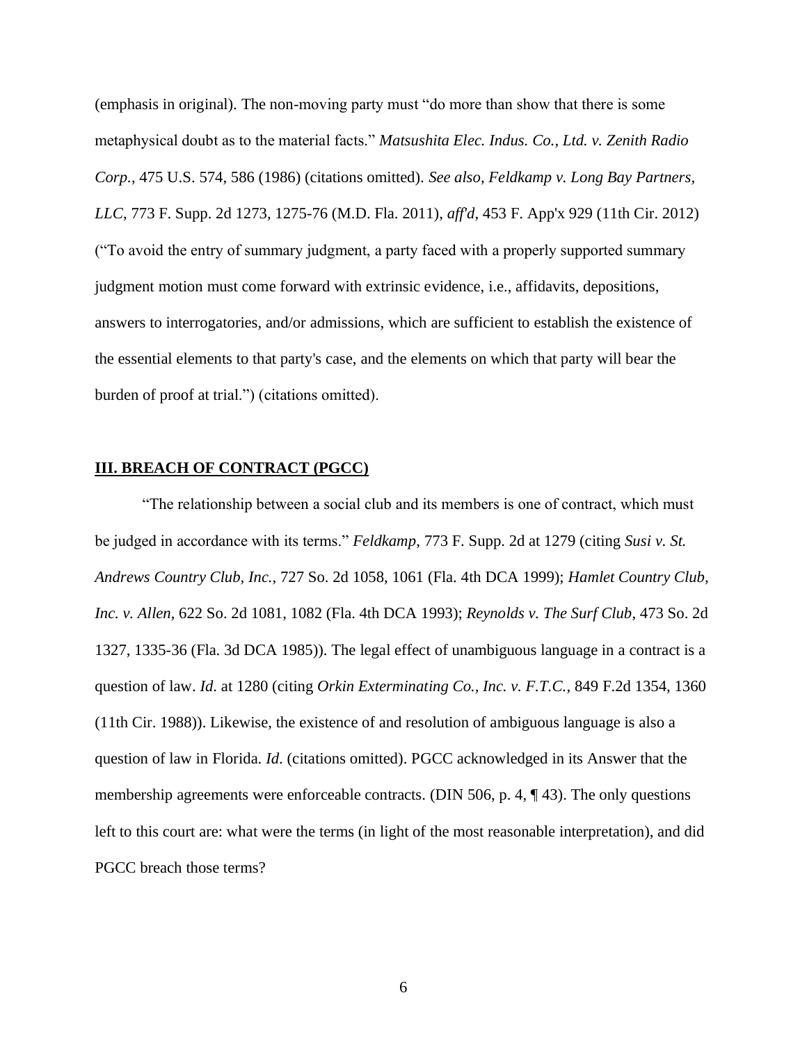(emphasis in original). The non-moving party must "do more than show that there is some metaphysical doubt as to the material facts." *Matsushita Elec. Indus. Co., Ltd. v. Zenith Radio Corp.*, 475 U.S. 574, 586 (1986) (citations omitted). *See also*, *Feldkamp v. Long Bay Partners, LLC*, 773 F. Supp. 2d 1273, 1275-76 (M.D. Fla. 2011), *aff'd*, 453 F. App'x 929 (11th Cir. 2012) ("To avoid the entry of summary judgment, a party faced with a properly supported summary judgment motion must come forward with extrinsic evidence, i.e., affidavits, depositions, answers to interrogatories, and/or admissions, which are sufficient to establish the existence of the essential elements to that party's case, and the elements on which that party will bear the burden of proof at trial.") (citations omitted).

### **III. BREACH OF CONTRACT (PGCC)**

"The relationship between a social club and its members is one of contract, which must be judged in accordance with its terms." *Feldkamp*, 773 F. Supp. 2d at 1279 (citing *Susi v. St. Andrews Country Club, Inc.*, 727 So. 2d 1058, 1061 (Fla. 4th DCA 1999); *Hamlet Country Club, Inc. v. Allen*, 622 So. 2d 1081, 1082 (Fla. 4th DCA 1993); *Reynolds v. The Surf Club*, 473 So. 2d 1327, 1335-36 (Fla. 3d DCA 1985)). The legal effect of unambiguous language in a contract is a question of law. *Id*. at 1280 (citing *Orkin Exterminating Co., Inc. v. F.T.C.*, 849 F.2d 1354, 1360 (11th Cir. 1988)). Likewise, the existence of and resolution of ambiguous language is also a question of law in Florida. *Id*. (citations omitted). PGCC acknowledged in its Answer that the membership agreements were enforceable contracts. (DIN 506, p. 4, ¶ 43). The only questions left to this court are: what were the terms (in light of the most reasonable interpretation), and did PGCC breach those terms?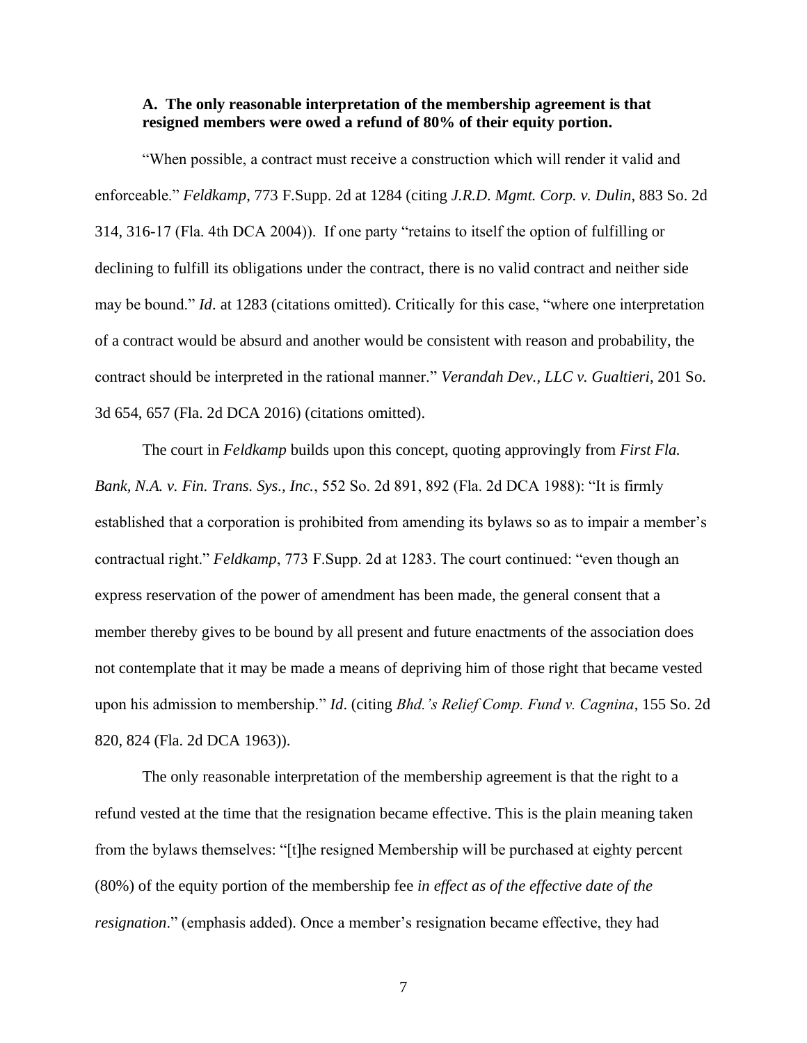### **A. The only reasonable interpretation of the membership agreement is that resigned members were owed a refund of 80% of their equity portion.**

"When possible, a contract must receive a construction which will render it valid and enforceable." *Feldkamp*, 773 F.Supp. 2d at 1284 (citing *J.R.D. Mgmt. Corp. v. Dulin*, 883 So. 2d 314, 316-17 (Fla. 4th DCA 2004)). If one party "retains to itself the option of fulfilling or declining to fulfill its obligations under the contract, there is no valid contract and neither side may be bound." *Id*. at 1283 (citations omitted). Critically for this case, "where one interpretation of a contract would be absurd and another would be consistent with reason and probability, the contract should be interpreted in the rational manner." *Verandah Dev., LLC v. Gualtieri*, 201 So. 3d 654, 657 (Fla. 2d DCA 2016) (citations omitted).

The court in *Feldkamp* builds upon this concept, quoting approvingly from *First Fla. Bank, N.A. v. Fin. Trans. Sys., Inc.*, 552 So. 2d 891, 892 (Fla. 2d DCA 1988): "It is firmly established that a corporation is prohibited from amending its bylaws so as to impair a member's contractual right." *Feldkamp*, 773 F.Supp. 2d at 1283. The court continued: "even though an express reservation of the power of amendment has been made, the general consent that a member thereby gives to be bound by all present and future enactments of the association does not contemplate that it may be made a means of depriving him of those right that became vested upon his admission to membership." *Id*. (citing *Bhd.'s Relief Comp. Fund v. Cagnina*, 155 So. 2d 820, 824 (Fla. 2d DCA 1963)).

The only reasonable interpretation of the membership agreement is that the right to a refund vested at the time that the resignation became effective. This is the plain meaning taken from the bylaws themselves: "[t]he resigned Membership will be purchased at eighty percent (80%) of the equity portion of the membership fee *in effect as of the effective date of the resignation*." (emphasis added). Once a member's resignation became effective, they had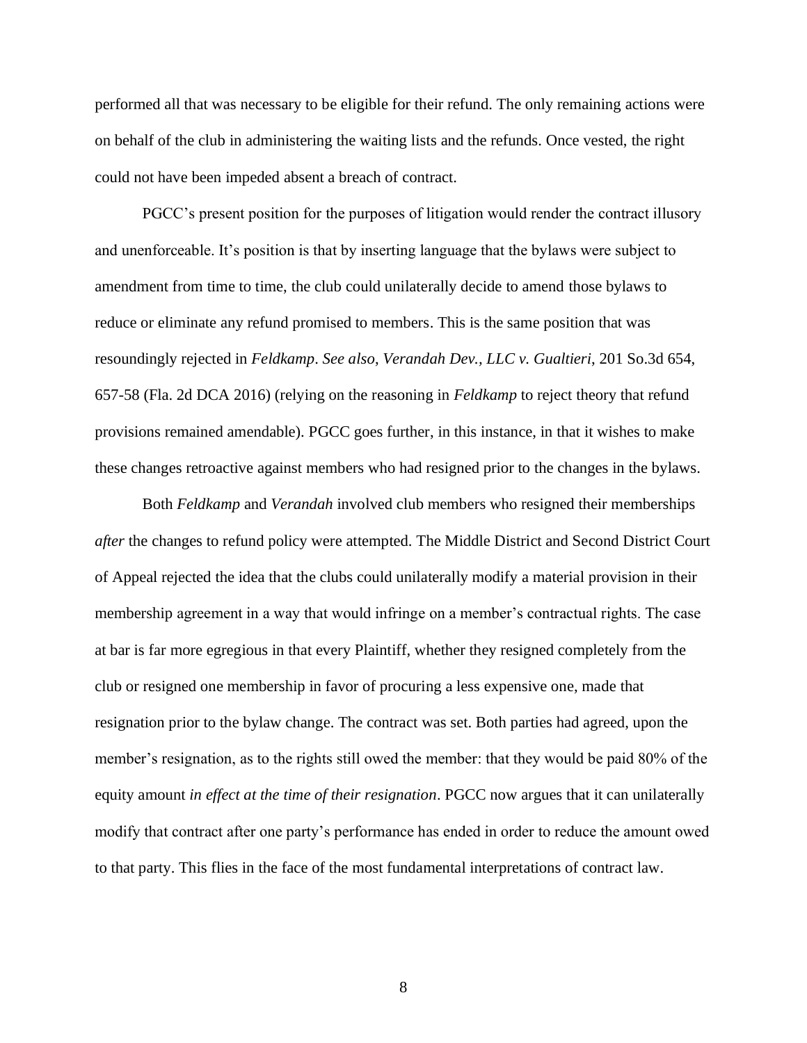performed all that was necessary to be eligible for their refund. The only remaining actions were on behalf of the club in administering the waiting lists and the refunds. Once vested, the right could not have been impeded absent a breach of contract.

PGCC's present position for the purposes of litigation would render the contract illusory and unenforceable. It's position is that by inserting language that the bylaws were subject to amendment from time to time, the club could unilaterally decide to amend those bylaws to reduce or eliminate any refund promised to members. This is the same position that was resoundingly rejected in *Feldkamp*. *See also*, *Verandah Dev., LLC v. Gualtieri*, 201 So.3d 654, 657-58 (Fla. 2d DCA 2016) (relying on the reasoning in *Feldkamp* to reject theory that refund provisions remained amendable). PGCC goes further, in this instance, in that it wishes to make these changes retroactive against members who had resigned prior to the changes in the bylaws.

Both *Feldkamp* and *Verandah* involved club members who resigned their memberships *after* the changes to refund policy were attempted. The Middle District and Second District Court of Appeal rejected the idea that the clubs could unilaterally modify a material provision in their membership agreement in a way that would infringe on a member's contractual rights. The case at bar is far more egregious in that every Plaintiff, whether they resigned completely from the club or resigned one membership in favor of procuring a less expensive one, made that resignation prior to the bylaw change. The contract was set. Both parties had agreed, upon the member's resignation, as to the rights still owed the member: that they would be paid 80% of the equity amount *in effect at the time of their resignation*. PGCC now argues that it can unilaterally modify that contract after one party's performance has ended in order to reduce the amount owed to that party. This flies in the face of the most fundamental interpretations of contract law.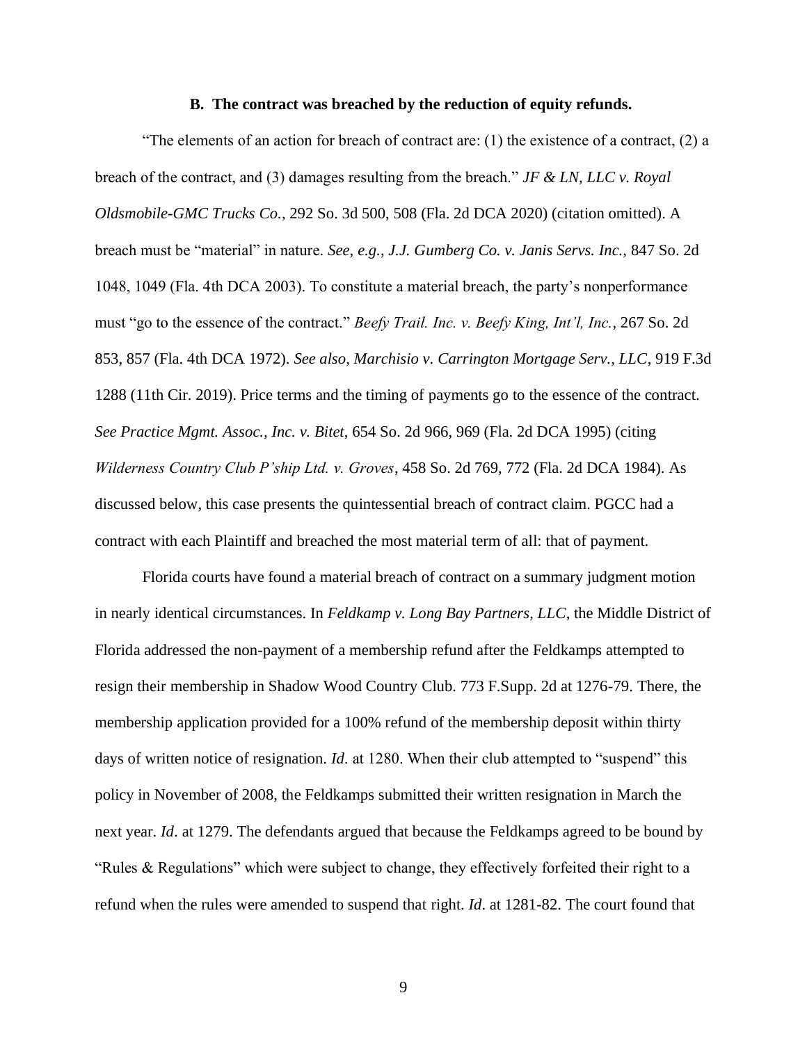#### **B. The contract was breached by the reduction of equity refunds.**

"The elements of an action for breach of contract are:  $(1)$  the existence of a contract,  $(2)$  a breach of the contract, and (3) damages resulting from the breach." *JF & LN, LLC v. Royal Oldsmobile-GMC Trucks Co.*, 292 So. 3d 500, 508 (Fla. 2d DCA 2020) (citation omitted). A breach must be "material" in nature. *See, e.g.*, *J.J. Gumberg Co. v. Janis Servs. Inc.,* 847 So. 2d 1048, 1049 (Fla. 4th DCA 2003). To constitute a material breach, the party's nonperformance must "go to the essence of the contract." *Beefy Trail. Inc. v. Beefy King, Int'l, Inc.*, 267 So. 2d 853, 857 (Fla. 4th DCA 1972). *See also*, *Marchisio v. Carrington Mortgage Serv., LLC*, 919 F.3d 1288 (11th Cir. 2019). Price terms and the timing of payments go to the essence of the contract. *See Practice Mgmt. Assoc., Inc. v. Bitet*, 654 So. 2d 966, 969 (Fla. 2d DCA 1995) (citing *Wilderness Country Club P'ship Ltd. v. Groves*, 458 So. 2d 769, 772 (Fla. 2d DCA 1984). As discussed below, this case presents the quintessential breach of contract claim. PGCC had a contract with each Plaintiff and breached the most material term of all: that of payment.

Florida courts have found a material breach of contract on a summary judgment motion in nearly identical circumstances. In *Feldkamp v. Long Bay Partners, LLC*, the Middle District of Florida addressed the non-payment of a membership refund after the Feldkamps attempted to resign their membership in Shadow Wood Country Club. 773 F.Supp. 2d at 1276-79. There, the membership application provided for a 100% refund of the membership deposit within thirty days of written notice of resignation. *Id*. at 1280. When their club attempted to "suspend" this policy in November of 2008, the Feldkamps submitted their written resignation in March the next year. *Id*. at 1279. The defendants argued that because the Feldkamps agreed to be bound by "Rules & Regulations" which were subject to change, they effectively forfeited their right to a refund when the rules were amended to suspend that right. *Id*. at 1281-82. The court found that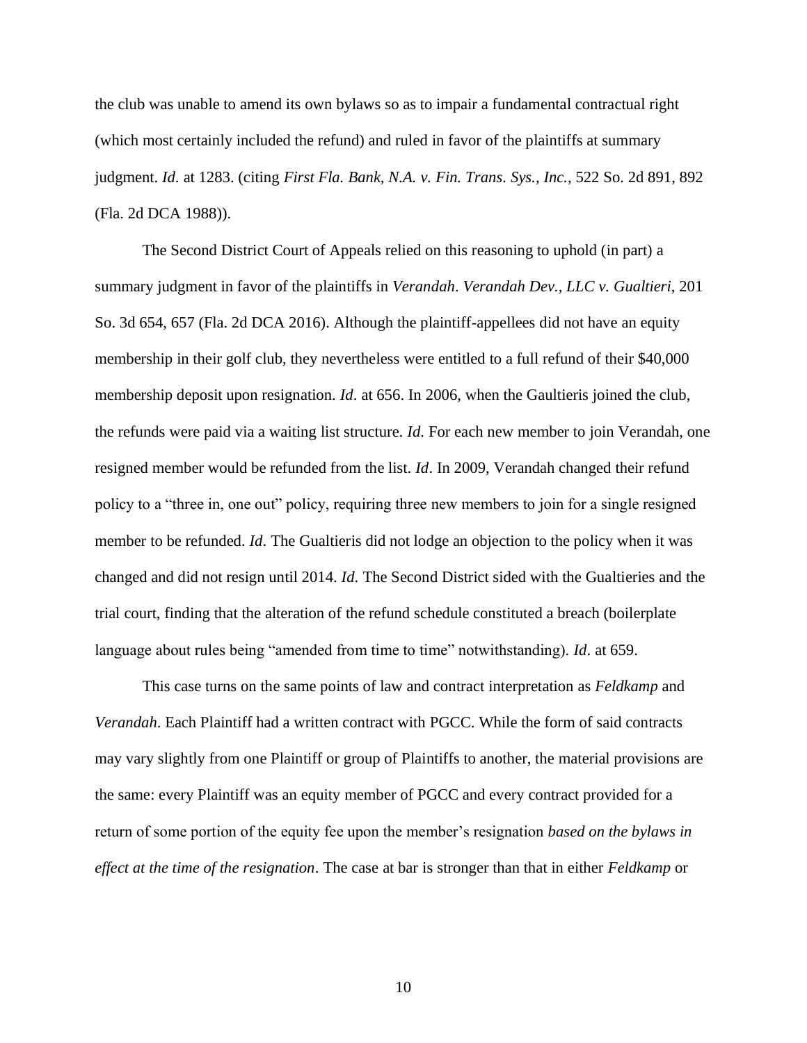the club was unable to amend its own bylaws so as to impair a fundamental contractual right (which most certainly included the refund) and ruled in favor of the plaintiffs at summary judgment. *Id*. at 1283. (citing *First Fla. Bank, N.A. v. Fin. Trans. Sys., Inc.*, 522 So. 2d 891, 892 (Fla. 2d DCA 1988)).

The Second District Court of Appeals relied on this reasoning to uphold (in part) a summary judgment in favor of the plaintiffs in *Verandah*. *Verandah Dev., LLC v. Gualtieri*, 201 So. 3d 654, 657 (Fla. 2d DCA 2016). Although the plaintiff-appellees did not have an equity membership in their golf club, they nevertheless were entitled to a full refund of their \$40,000 membership deposit upon resignation. *Id*. at 656. In 2006, when the Gaultieris joined the club, the refunds were paid via a waiting list structure. *Id*. For each new member to join Verandah, one resigned member would be refunded from the list. *Id*. In 2009, Verandah changed their refund policy to a "three in, one out" policy, requiring three new members to join for a single resigned member to be refunded. *Id*. The Gualtieris did not lodge an objection to the policy when it was changed and did not resign until 2014. *Id*. The Second District sided with the Gualtieries and the trial court, finding that the alteration of the refund schedule constituted a breach (boilerplate language about rules being "amended from time to time" notwithstanding). *Id*. at 659.

This case turns on the same points of law and contract interpretation as *Feldkamp* and *Verandah*. Each Plaintiff had a written contract with PGCC. While the form of said contracts may vary slightly from one Plaintiff or group of Plaintiffs to another, the material provisions are the same: every Plaintiff was an equity member of PGCC and every contract provided for a return of some portion of the equity fee upon the member's resignation *based on the bylaws in effect at the time of the resignation*. The case at bar is stronger than that in either *Feldkamp* or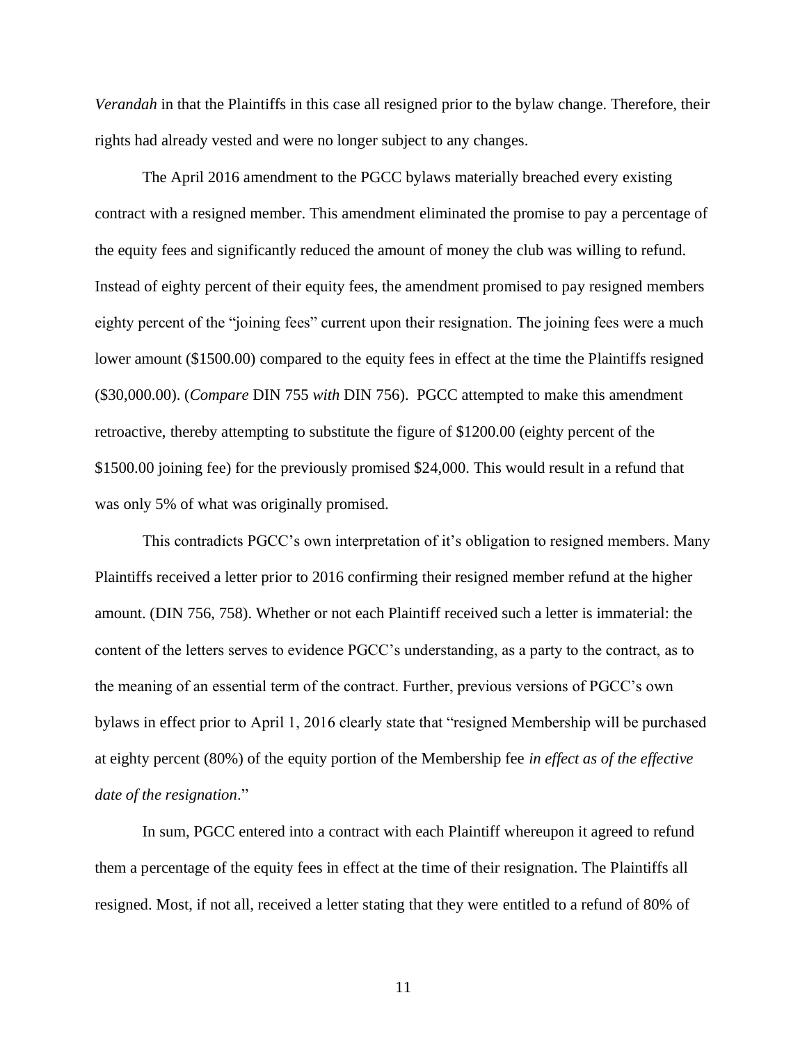*Verandah* in that the Plaintiffs in this case all resigned prior to the bylaw change. Therefore, their rights had already vested and were no longer subject to any changes.

The April 2016 amendment to the PGCC bylaws materially breached every existing contract with a resigned member. This amendment eliminated the promise to pay a percentage of the equity fees and significantly reduced the amount of money the club was willing to refund. Instead of eighty percent of their equity fees, the amendment promised to pay resigned members eighty percent of the "joining fees" current upon their resignation. The joining fees were a much lower amount (\$1500.00) compared to the equity fees in effect at the time the Plaintiffs resigned (\$30,000.00). (*Compare* DIN 755 *with* DIN 756). PGCC attempted to make this amendment retroactive, thereby attempting to substitute the figure of \$1200.00 (eighty percent of the \$1500.00 joining fee) for the previously promised \$24,000. This would result in a refund that was only 5% of what was originally promised.

This contradicts PGCC's own interpretation of it's obligation to resigned members. Many Plaintiffs received a letter prior to 2016 confirming their resigned member refund at the higher amount. (DIN 756, 758). Whether or not each Plaintiff received such a letter is immaterial: the content of the letters serves to evidence PGCC's understanding, as a party to the contract, as to the meaning of an essential term of the contract. Further, previous versions of PGCC's own bylaws in effect prior to April 1, 2016 clearly state that "resigned Membership will be purchased at eighty percent (80%) of the equity portion of the Membership fee *in effect as of the effective date of the resignation*."

In sum, PGCC entered into a contract with each Plaintiff whereupon it agreed to refund them a percentage of the equity fees in effect at the time of their resignation. The Plaintiffs all resigned. Most, if not all, received a letter stating that they were entitled to a refund of 80% of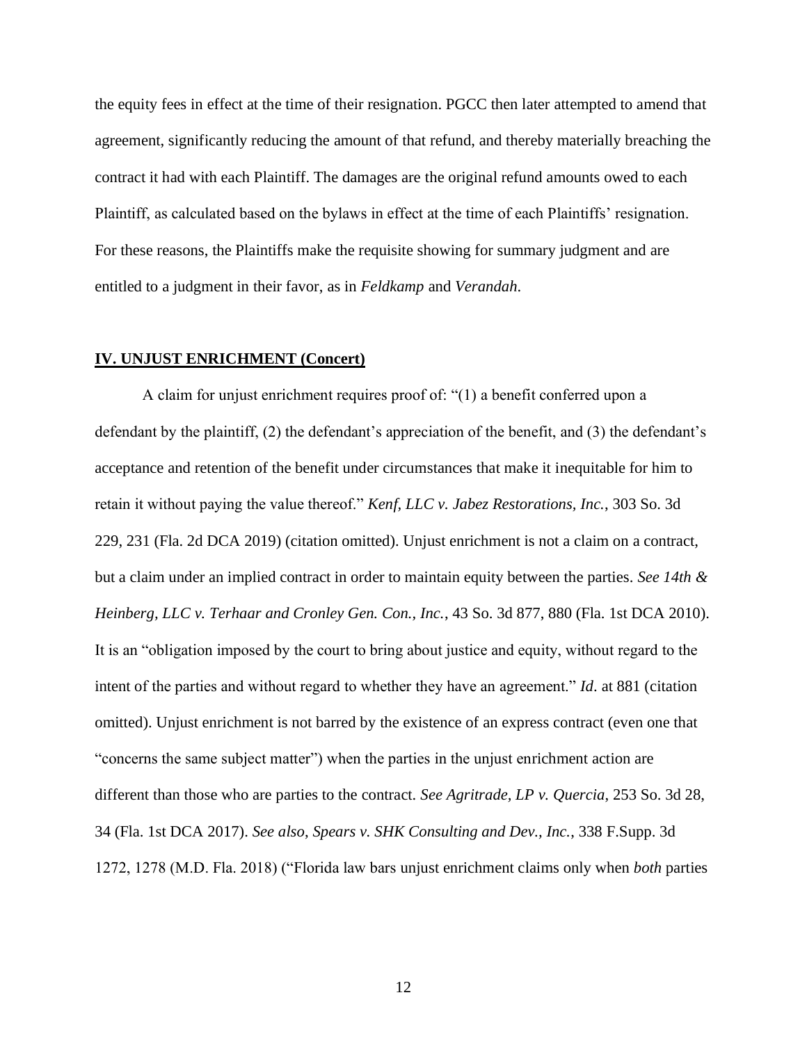the equity fees in effect at the time of their resignation. PGCC then later attempted to amend that agreement, significantly reducing the amount of that refund, and thereby materially breaching the contract it had with each Plaintiff. The damages are the original refund amounts owed to each Plaintiff, as calculated based on the bylaws in effect at the time of each Plaintiffs' resignation. For these reasons, the Plaintiffs make the requisite showing for summary judgment and are entitled to a judgment in their favor, as in *Feldkamp* and *Verandah*.

#### **IV. UNJUST ENRICHMENT (Concert)**

A claim for unjust enrichment requires proof of: "(1) a benefit conferred upon a defendant by the plaintiff, (2) the defendant's appreciation of the benefit, and (3) the defendant's acceptance and retention of the benefit under circumstances that make it inequitable for him to retain it without paying the value thereof." *Kenf, LLC v. Jabez Restorations, Inc.*, 303 So. 3d 229, 231 (Fla. 2d DCA 2019) (citation omitted). Unjust enrichment is not a claim on a contract, but a claim under an implied contract in order to maintain equity between the parties. *See 14th & Heinberg, LLC v. Terhaar and Cronley Gen. Con., Inc.*, 43 So. 3d 877, 880 (Fla. 1st DCA 2010). It is an "obligation imposed by the court to bring about justice and equity, without regard to the intent of the parties and without regard to whether they have an agreement." *Id*. at 881 (citation omitted). Unjust enrichment is not barred by the existence of an express contract (even one that "concerns the same subject matter") when the parties in the unjust enrichment action are different than those who are parties to the contract. *See Agritrade, LP v. Quercia*, 253 So. 3d 28, 34 (Fla. 1st DCA 2017). *See also*, *Spears v. SHK Consulting and Dev., Inc.*, 338 F.Supp. 3d 1272, 1278 (M.D. Fla. 2018) ("Florida law bars unjust enrichment claims only when *both* parties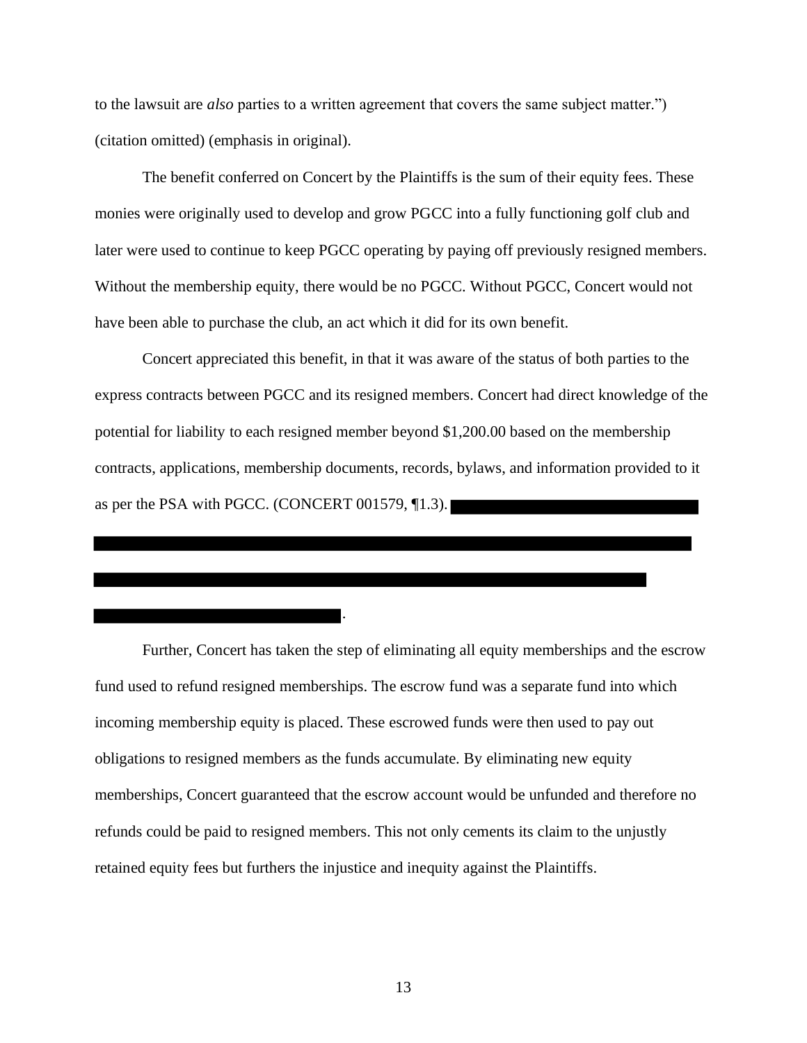to the lawsuit are *also* parties to a written agreement that covers the same subject matter.") (citation omitted) (emphasis in original).

The benefit conferred on Concert by the Plaintiffs is the sum of their equity fees. These monies were originally used to develop and grow PGCC into a fully functioning golf club and later were used to continue to keep PGCC operating by paying off previously resigned members. Without the membership equity, there would be no PGCC. Without PGCC, Concert would not have been able to purchase the club, an act which it did for its own benefit.

Concert appreciated this benefit, in that it was aware of the status of both parties to the express contracts between PGCC and its resigned members. Concert had direct knowledge of the potential for liability to each resigned member beyond \$1,200.00 based on the membership contracts, applications, membership documents, records, bylaws, and information provided to it as per the PSA with PGCC. (CONCERT 001579, ¶1.3).

Further, Concert has taken the step of eliminating all equity memberships and the escrow fund used to refund resigned memberships. The escrow fund was a separate fund into which incoming membership equity is placed. These escrowed funds were then used to pay out obligations to resigned members as the funds accumulate. By eliminating new equity memberships, Concert guaranteed that the escrow account would be unfunded and therefore no refunds could be paid to resigned members. This not only cements its claim to the unjustly retained equity fees but furthers the injustice and inequity against the Plaintiffs.

. — пример, на селото на селото на селото на селото на селото на селото на селото на селото на селото на селото<br>В селото на селото на селото на селото на селото на селото на селото на селото на селото на селото на селото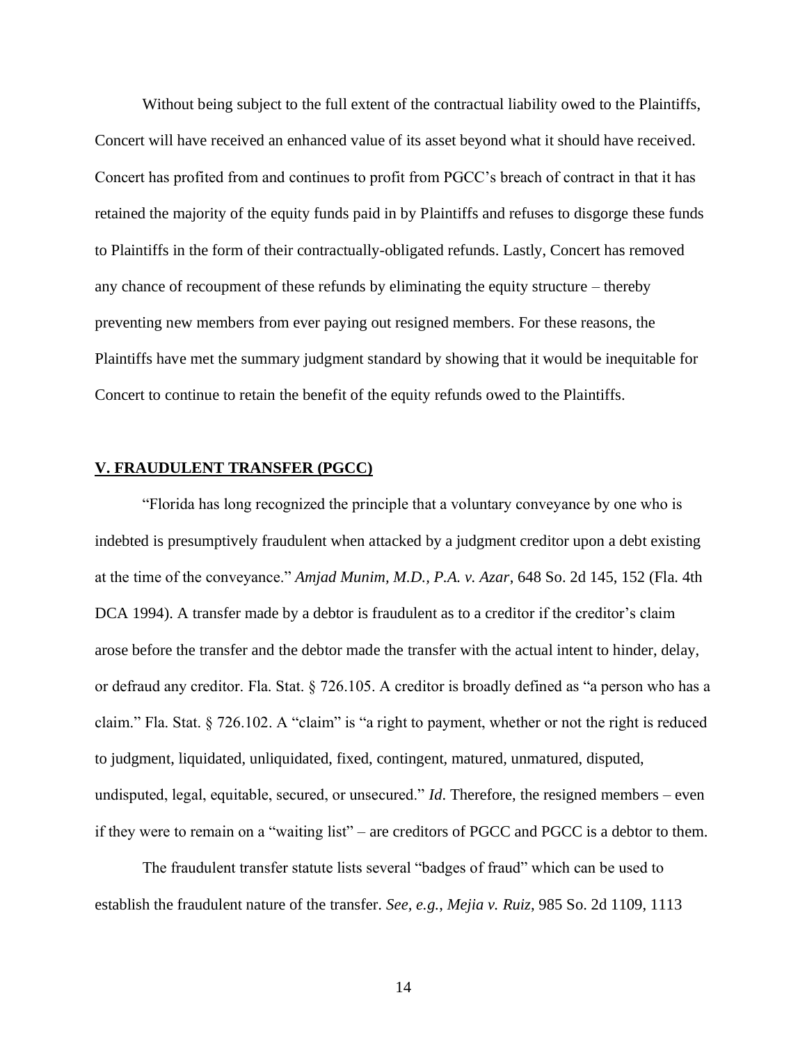Without being subject to the full extent of the contractual liability owed to the Plaintiffs, Concert will have received an enhanced value of its asset beyond what it should have received. Concert has profited from and continues to profit from PGCC's breach of contract in that it has retained the majority of the equity funds paid in by Plaintiffs and refuses to disgorge these funds to Plaintiffs in the form of their contractually-obligated refunds. Lastly, Concert has removed any chance of recoupment of these refunds by eliminating the equity structure – thereby preventing new members from ever paying out resigned members. For these reasons, the Plaintiffs have met the summary judgment standard by showing that it would be inequitable for Concert to continue to retain the benefit of the equity refunds owed to the Plaintiffs.

### **V. FRAUDULENT TRANSFER (PGCC)**

"Florida has long recognized the principle that a voluntary conveyance by one who is indebted is presumptively fraudulent when attacked by a judgment creditor upon a debt existing at the time of the conveyance." *Amjad Munim, M.D., P.A. v. Azar*, 648 So. 2d 145, 152 (Fla. 4th DCA 1994). A transfer made by a debtor is fraudulent as to a creditor if the creditor's claim arose before the transfer and the debtor made the transfer with the actual intent to hinder, delay, or defraud any creditor. Fla. Stat. § 726.105. A creditor is broadly defined as "a person who has a claim." Fla. Stat. § 726.102. A "claim" is "a right to payment, whether or not the right is reduced to judgment, liquidated, unliquidated, fixed, contingent, matured, unmatured, disputed, undisputed, legal, equitable, secured, or unsecured." *Id*. Therefore, the resigned members – even if they were to remain on a "waiting list" – are creditors of PGCC and PGCC is a debtor to them.

The fraudulent transfer statute lists several "badges of fraud" which can be used to establish the fraudulent nature of the transfer. *See, e.g.*, *Mejia v. Ruiz*, 985 So. 2d 1109, 1113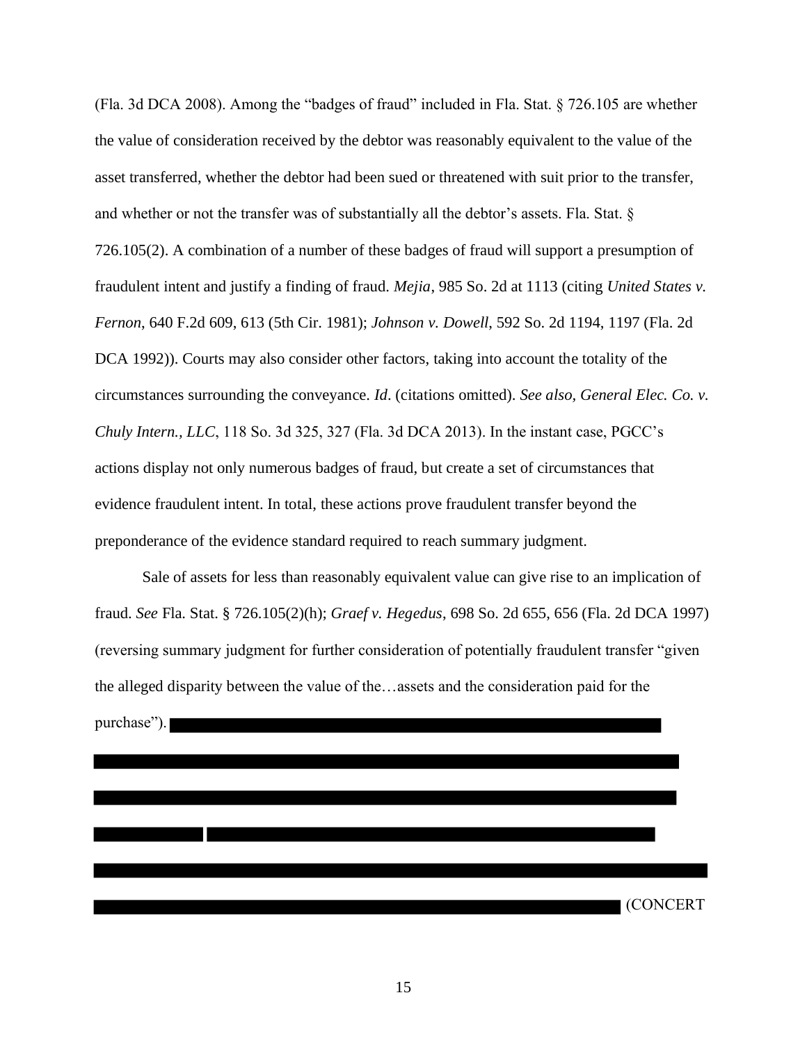(Fla. 3d DCA 2008). Among the "badges of fraud" included in Fla. Stat. § 726.105 are whether the value of consideration received by the debtor was reasonably equivalent to the value of the asset transferred, whether the debtor had been sued or threatened with suit prior to the transfer, and whether or not the transfer was of substantially all the debtor's assets. Fla. Stat. § 726.105(2). A combination of a number of these badges of fraud will support a presumption of fraudulent intent and justify a finding of fraud. *Mejia*, 985 So. 2d at 1113 (citing *United States v. Fernon*, 640 F.2d 609, 613 (5th Cir. 1981); *Johnson v. Dowell*, 592 So. 2d 1194, 1197 (Fla. 2d DCA 1992)). Courts may also consider other factors, taking into account the totality of the circumstances surrounding the conveyance. *Id*. (citations omitted). *See also, General Elec. Co. v. Chuly Intern., LLC*, 118 So. 3d 325, 327 (Fla. 3d DCA 2013). In the instant case, PGCC's actions display not only numerous badges of fraud, but create a set of circumstances that evidence fraudulent intent. In total, these actions prove fraudulent transfer beyond the preponderance of the evidence standard required to reach summary judgment.

Sale of assets for less than reasonably equivalent value can give rise to an implication of fraud. *See* Fla. Stat. § 726.105(2)(h); *Graef v. Hegedus*, 698 So. 2d 655, 656 (Fla. 2d DCA 1997) (reversing summary judgment for further consideration of potentially fraudulent transfer "given the alleged disparity between the value of the…assets and the consideration paid for the purchase").

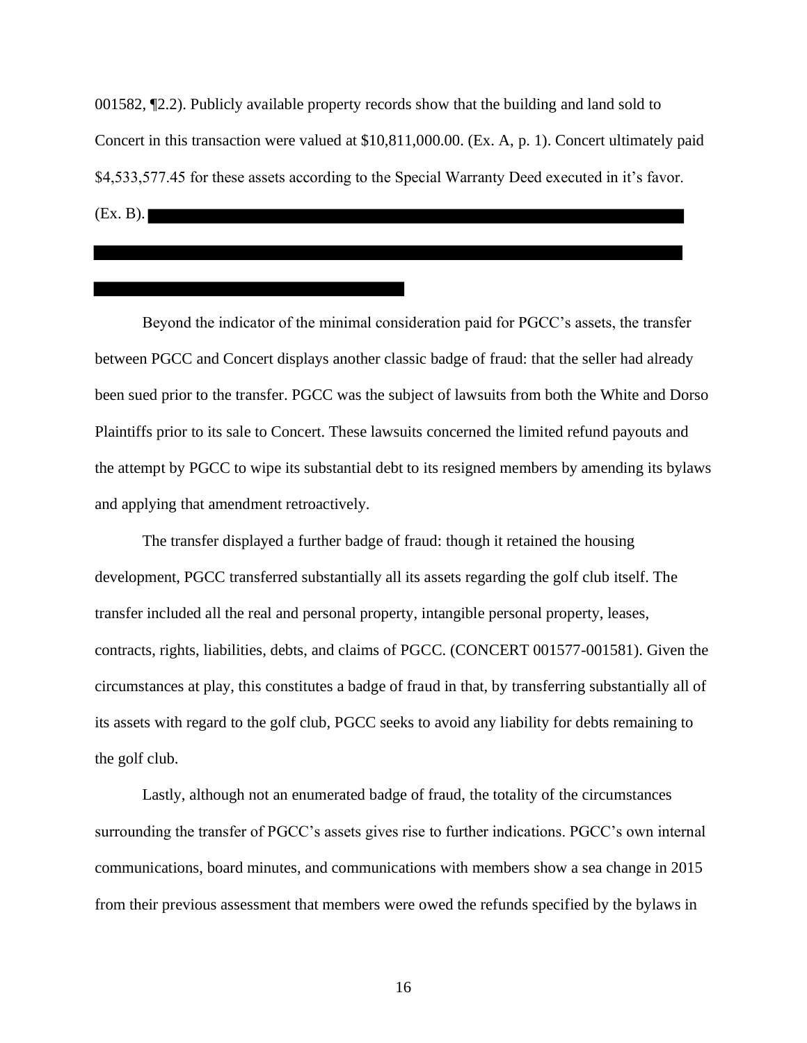001582, ¶2.2). Publicly available property records show that the building and land sold to Concert in this transaction were valued at \$10,811,000.00. (Ex. A, p. 1). Concert ultimately paid \$4,533,577.45 for these assets according to the Special Warranty Deed executed in it's favor. (Ex. B).

Beyond the indicator of the minimal consideration paid for PGCC's assets, the transfer between PGCC and Concert displays another classic badge of fraud: that the seller had already been sued prior to the transfer. PGCC was the subject of lawsuits from both the White and Dorso Plaintiffs prior to its sale to Concert. These lawsuits concerned the limited refund payouts and the attempt by PGCC to wipe its substantial debt to its resigned members by amending its bylaws and applying that amendment retroactively.

The transfer displayed a further badge of fraud: though it retained the housing development, PGCC transferred substantially all its assets regarding the golf club itself. The transfer included all the real and personal property, intangible personal property, leases, contracts, rights, liabilities, debts, and claims of PGCC. (CONCERT 001577-001581). Given the circumstances at play, this constitutes a badge of fraud in that, by transferring substantially all of its assets with regard to the golf club, PGCC seeks to avoid any liability for debts remaining to the golf club.

Lastly, although not an enumerated badge of fraud, the totality of the circumstances surrounding the transfer of PGCC's assets gives rise to further indications. PGCC's own internal communications, board minutes, and communications with members show a sea change in 2015 from their previous assessment that members were owed the refunds specified by the bylaws in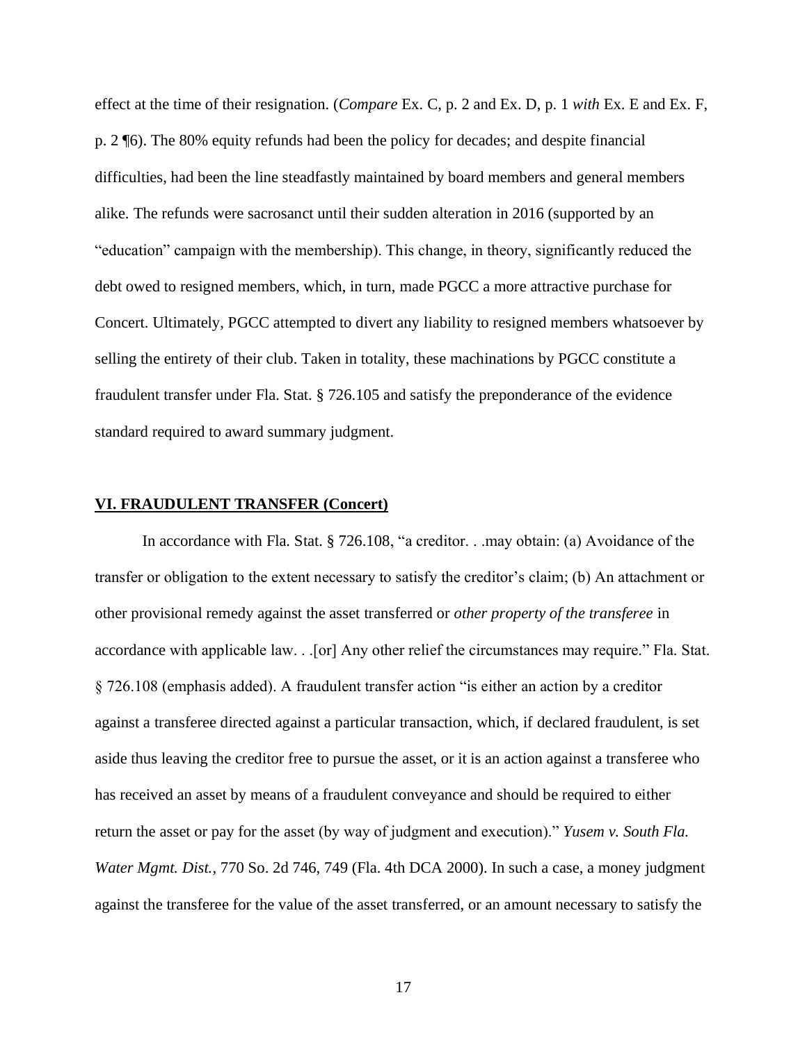effect at the time of their resignation. (*Compare* Ex. C, p. 2 and Ex. D, p. 1 *with* Ex. E and Ex. F, p. 2 ¶6). The 80% equity refunds had been the policy for decades; and despite financial difficulties, had been the line steadfastly maintained by board members and general members alike. The refunds were sacrosanct until their sudden alteration in 2016 (supported by an "education" campaign with the membership). This change, in theory, significantly reduced the debt owed to resigned members, which, in turn, made PGCC a more attractive purchase for Concert. Ultimately, PGCC attempted to divert any liability to resigned members whatsoever by selling the entirety of their club. Taken in totality, these machinations by PGCC constitute a fraudulent transfer under Fla. Stat. § 726.105 and satisfy the preponderance of the evidence standard required to award summary judgment.

### **VI. FRAUDULENT TRANSFER (Concert)**

In accordance with Fla. Stat. § 726.108, "a creditor. . .may obtain: (a) Avoidance of the transfer or obligation to the extent necessary to satisfy the creditor's claim; (b) An attachment or other provisional remedy against the asset transferred or *other property of the transferee* in accordance with applicable law. . .[or] Any other relief the circumstances may require." Fla. Stat. § 726.108 (emphasis added). A fraudulent transfer action "is either an action by a creditor against a transferee directed against a particular transaction, which, if declared fraudulent, is set aside thus leaving the creditor free to pursue the asset, or it is an action against a transferee who has received an asset by means of a fraudulent conveyance and should be required to either return the asset or pay for the asset (by way of judgment and execution)." *Yusem v. South Fla. Water Mgmt. Dist.*, 770 So. 2d 746, 749 (Fla. 4th DCA 2000). In such a case, a money judgment against the transferee for the value of the asset transferred, or an amount necessary to satisfy the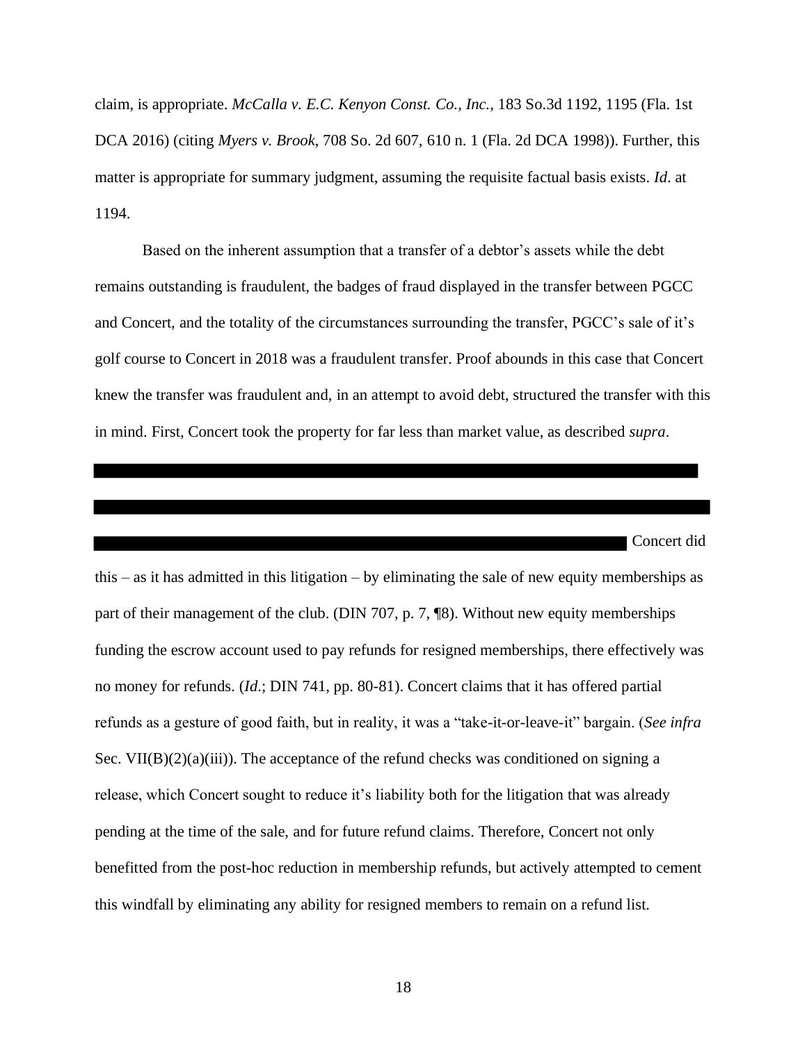claim, is appropriate. *McCalla v. E.C. Kenyon Const. Co.*, *Inc.*, 183 So.3d 1192, 1195 (Fla. 1st DCA 2016) (citing *Myers v. Brook*, 708 So. 2d 607, 610 n. 1 (Fla. 2d DCA 1998)). Further, this matter is appropriate for summary judgment, assuming the requisite factual basis exists. *Id*. at 1194.

Based on the inherent assumption that a transfer of a debtor's assets while the debt remains outstanding is fraudulent, the badges of fraud displayed in the transfer between PGCC and Concert, and the totality of the circumstances surrounding the transfer, PGCC's sale of it's golf course to Concert in 2018 was a fraudulent transfer. Proof abounds in this case that Concert knew the transfer was fraudulent and, in an attempt to avoid debt, structured the transfer with this in mind. First, Concert took the property for far less than market value, as described *supra*.

 Concert did this – as it has admitted in this litigation – by eliminating the sale of new equity memberships as part of their management of the club. (DIN 707, p. 7, ¶8). Without new equity memberships funding the escrow account used to pay refunds for resigned memberships, there effectively was no money for refunds. (*Id*.; DIN 741, pp. 80-81). Concert claims that it has offered partial refunds as a gesture of good faith, but in reality, it was a "take-it-or-leave-it" bargain. (*See infra* Sec. VII(B) $(2)(a)(iii)$ ). The acceptance of the refund checks was conditioned on signing a release, which Concert sought to reduce it's liability both for the litigation that was already pending at the time of the sale, and for future refund claims. Therefore, Concert not only benefitted from the post-hoc reduction in membership refunds, but actively attempted to cement this windfall by eliminating any ability for resigned members to remain on a refund list.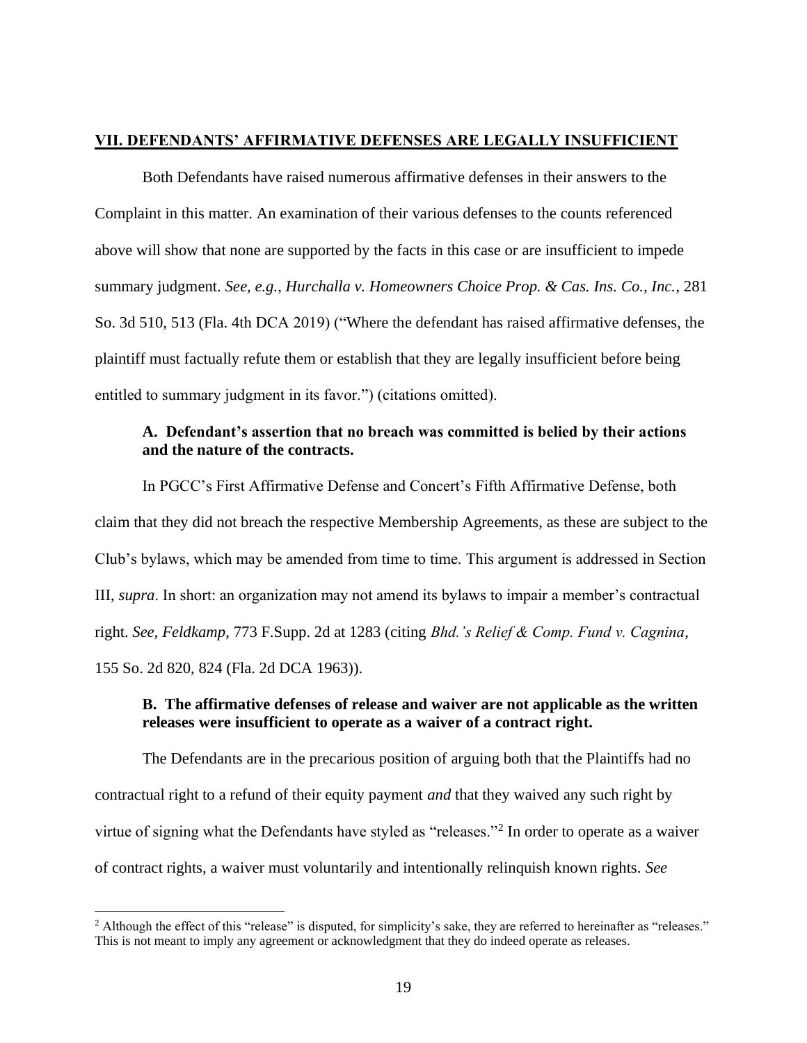### **VII. DEFENDANTS' AFFIRMATIVE DEFENSES ARE LEGALLY INSUFFICIENT**

Both Defendants have raised numerous affirmative defenses in their answers to the Complaint in this matter. An examination of their various defenses to the counts referenced above will show that none are supported by the facts in this case or are insufficient to impede summary judgment. *See, e.g.*, *Hurchalla v. Homeowners Choice Prop. & Cas. Ins. Co., Inc.*, 281 So. 3d 510, 513 (Fla. 4th DCA 2019) ("Where the defendant has raised affirmative defenses, the plaintiff must factually refute them or establish that they are legally insufficient before being entitled to summary judgment in its favor.") (citations omitted).

### **A. Defendant's assertion that no breach was committed is belied by their actions and the nature of the contracts.**

In PGCC's First Affirmative Defense and Concert's Fifth Affirmative Defense, both claim that they did not breach the respective Membership Agreements, as these are subject to the Club's bylaws, which may be amended from time to time. This argument is addressed in Section III, *supra*. In short: an organization may not amend its bylaws to impair a member's contractual right. *See, Feldkamp*, 773 F.Supp. 2d at 1283 (citing *Bhd.'s Relief & Comp. Fund v. Cagnina*, 155 So. 2d 820, 824 (Fla. 2d DCA 1963)).

### **B. The affirmative defenses of release and waiver are not applicable as the written releases were insufficient to operate as a waiver of a contract right.**

The Defendants are in the precarious position of arguing both that the Plaintiffs had no contractual right to a refund of their equity payment *and* that they waived any such right by virtue of signing what the Defendants have styled as "releases."<sup>2</sup> In order to operate as a waiver of contract rights, a waiver must voluntarily and intentionally relinquish known rights. *See* 

<sup>&</sup>lt;sup>2</sup> Although the effect of this "release" is disputed, for simplicity's sake, they are referred to hereinafter as "releases." This is not meant to imply any agreement or acknowledgment that they do indeed operate as releases.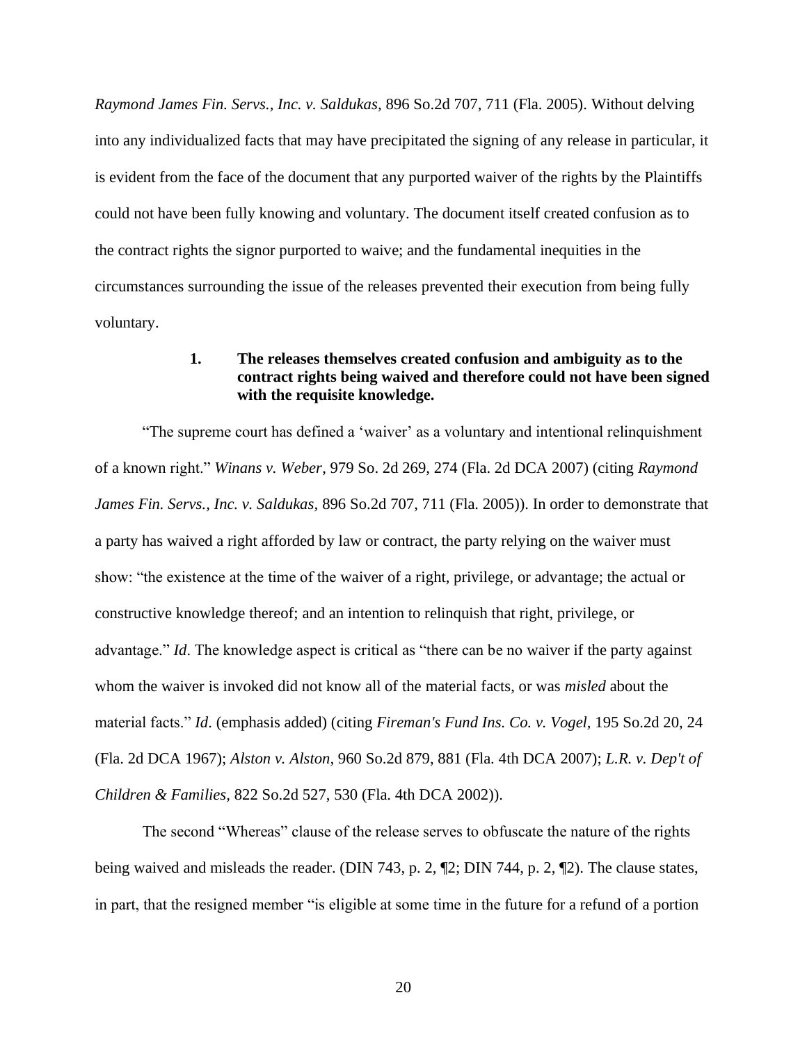*Raymond James Fin. Servs., Inc. v. Saldukas,* 896 So.2d 707, 711 (Fla. 2005). Without delving into any individualized facts that may have precipitated the signing of any release in particular, it is evident from the face of the document that any purported waiver of the rights by the Plaintiffs could not have been fully knowing and voluntary. The document itself created confusion as to the contract rights the signor purported to waive; and the fundamental inequities in the circumstances surrounding the issue of the releases prevented their execution from being fully voluntary.

### **1. The releases themselves created confusion and ambiguity as to the contract rights being waived and therefore could not have been signed with the requisite knowledge.**

"The supreme court has defined a 'waiver' as a voluntary and intentional relinquishment of a known right." *Winans v. Weber*, 979 So. 2d 269, 274 (Fla. 2d DCA 2007) (citing *Raymond James Fin. Servs., Inc. v. Saldukas,* 896 So.2d 707, 711 (Fla. 2005)). In order to demonstrate that a party has waived a right afforded by law or contract, the party relying on the waiver must show: "the existence at the time of the waiver of a right, privilege, or advantage; the actual or constructive knowledge thereof; and an intention to relinquish that right, privilege, or advantage." *Id*. The knowledge aspect is critical as "there can be no waiver if the party against whom the waiver is invoked did not know all of the material facts, or was *misled* about the material facts." *Id*. (emphasis added) (citing *Fireman's Fund Ins. Co. v. Vogel,* 195 So.2d 20, 24 (Fla. 2d DCA 1967); *Alston v. Alston,* 960 So.2d 879, 881 (Fla. 4th DCA 2007); *L.R. v. Dep't of Children & Families,* 822 So.2d 527, 530 (Fla. 4th DCA 2002)).

The second "Whereas" clause of the release serves to obfuscate the nature of the rights being waived and misleads the reader. (DIN 743, p. 2, ¶2; DIN 744, p. 2, ¶2). The clause states, in part, that the resigned member "is eligible at some time in the future for a refund of a portion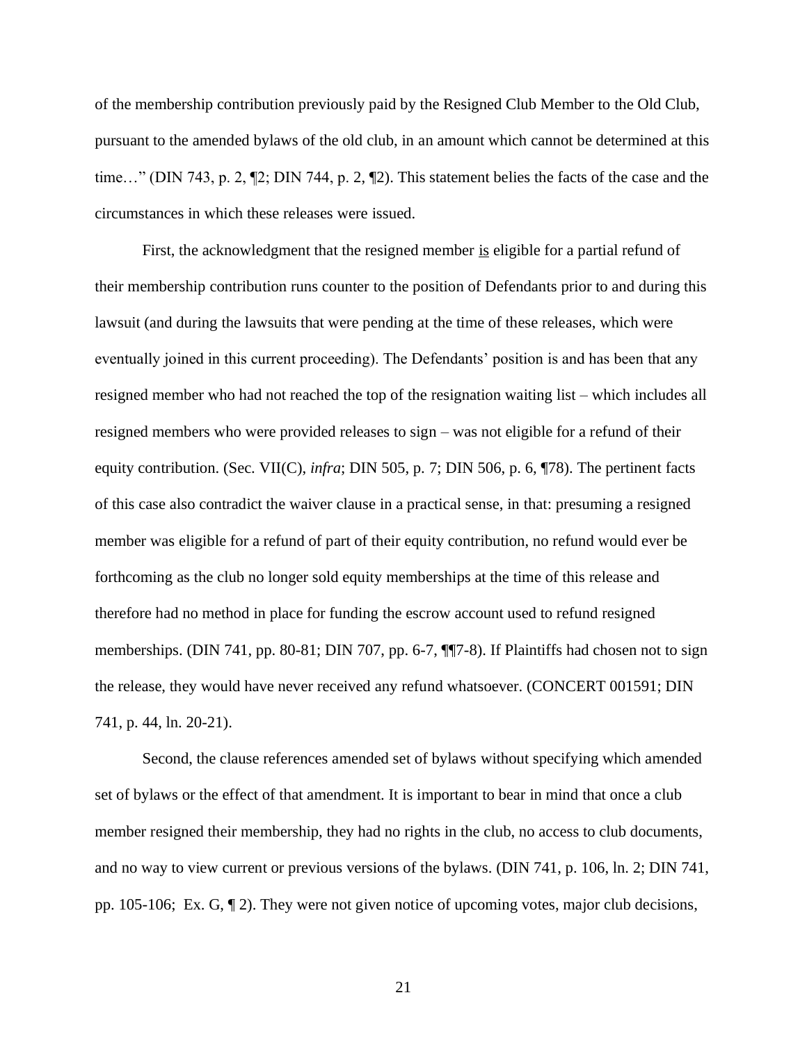of the membership contribution previously paid by the Resigned Club Member to the Old Club, pursuant to the amended bylaws of the old club, in an amount which cannot be determined at this time…" (DIN 743, p. 2, ¶2; DIN 744, p. 2, ¶2). This statement belies the facts of the case and the circumstances in which these releases were issued.

First, the acknowledgment that the resigned member is eligible for a partial refund of their membership contribution runs counter to the position of Defendants prior to and during this lawsuit (and during the lawsuits that were pending at the time of these releases, which were eventually joined in this current proceeding). The Defendants' position is and has been that any resigned member who had not reached the top of the resignation waiting list – which includes all resigned members who were provided releases to sign – was not eligible for a refund of their equity contribution. (Sec. VII(C), *infra*; DIN 505, p. 7; DIN 506, p. 6, ¶78). The pertinent facts of this case also contradict the waiver clause in a practical sense, in that: presuming a resigned member was eligible for a refund of part of their equity contribution, no refund would ever be forthcoming as the club no longer sold equity memberships at the time of this release and therefore had no method in place for funding the escrow account used to refund resigned memberships. (DIN 741, pp. 80-81; DIN 707, pp. 6-7, ¶¶7-8). If Plaintiffs had chosen not to sign the release, they would have never received any refund whatsoever. (CONCERT 001591; DIN 741, p. 44, ln. 20-21).

Second, the clause references amended set of bylaws without specifying which amended set of bylaws or the effect of that amendment. It is important to bear in mind that once a club member resigned their membership, they had no rights in the club, no access to club documents, and no way to view current or previous versions of the bylaws. (DIN 741, p. 106, ln. 2; DIN 741, pp. 105-106; Ex. G, ¶ 2). They were not given notice of upcoming votes, major club decisions,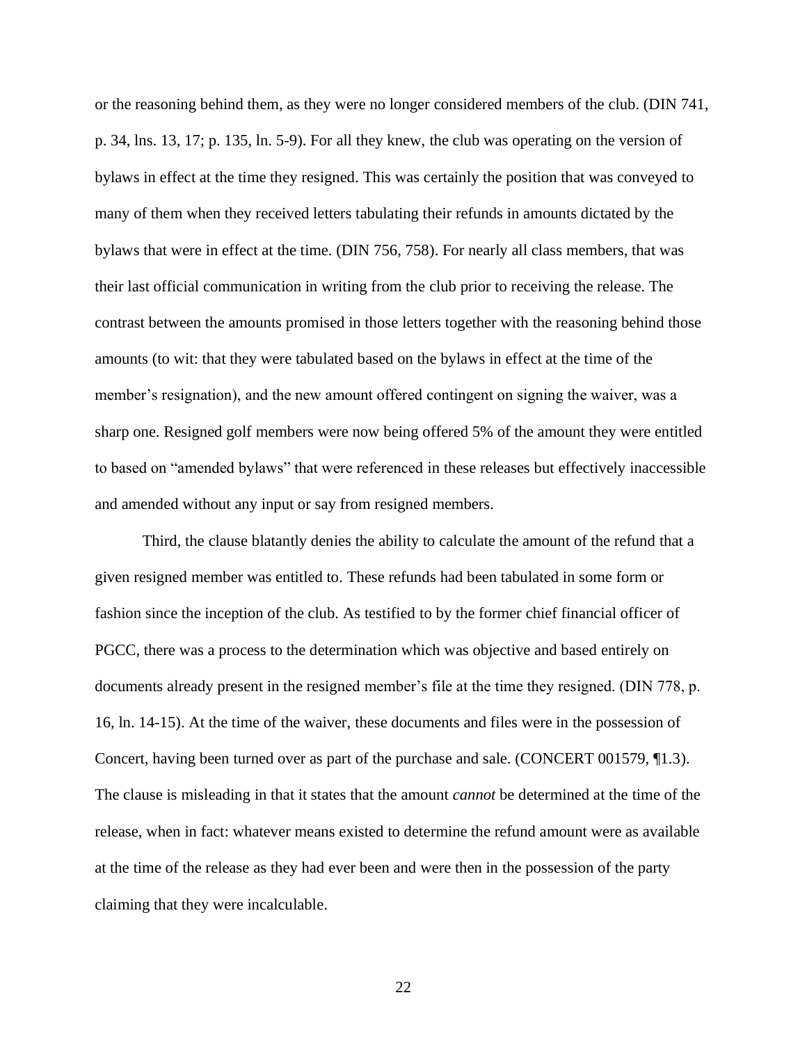or the reasoning behind them, as they were no longer considered members of the club. (DIN 741, p. 34, lns. 13, 17; p. 135, ln. 5-9). For all they knew, the club was operating on the version of bylaws in effect at the time they resigned. This was certainly the position that was conveyed to many of them when they received letters tabulating their refunds in amounts dictated by the bylaws that were in effect at the time. (DIN 756, 758). For nearly all class members, that was their last official communication in writing from the club prior to receiving the release. The contrast between the amounts promised in those letters together with the reasoning behind those amounts (to wit: that they were tabulated based on the bylaws in effect at the time of the member's resignation), and the new amount offered contingent on signing the waiver, was a sharp one. Resigned golf members were now being offered 5% of the amount they were entitled to based on "amended bylaws" that were referenced in these releases but effectively inaccessible and amended without any input or say from resigned members.

Third, the clause blatantly denies the ability to calculate the amount of the refund that a given resigned member was entitled to. These refunds had been tabulated in some form or fashion since the inception of the club. As testified to by the former chief financial officer of PGCC, there was a process to the determination which was objective and based entirely on documents already present in the resigned member's file at the time they resigned. (DIN 778, p. 16, ln. 14-15). At the time of the waiver, these documents and files were in the possession of Concert, having been turned over as part of the purchase and sale. (CONCERT 001579, ¶1.3). The clause is misleading in that it states that the amount *cannot* be determined at the time of the release, when in fact: whatever means existed to determine the refund amount were as available at the time of the release as they had ever been and were then in the possession of the party claiming that they were incalculable.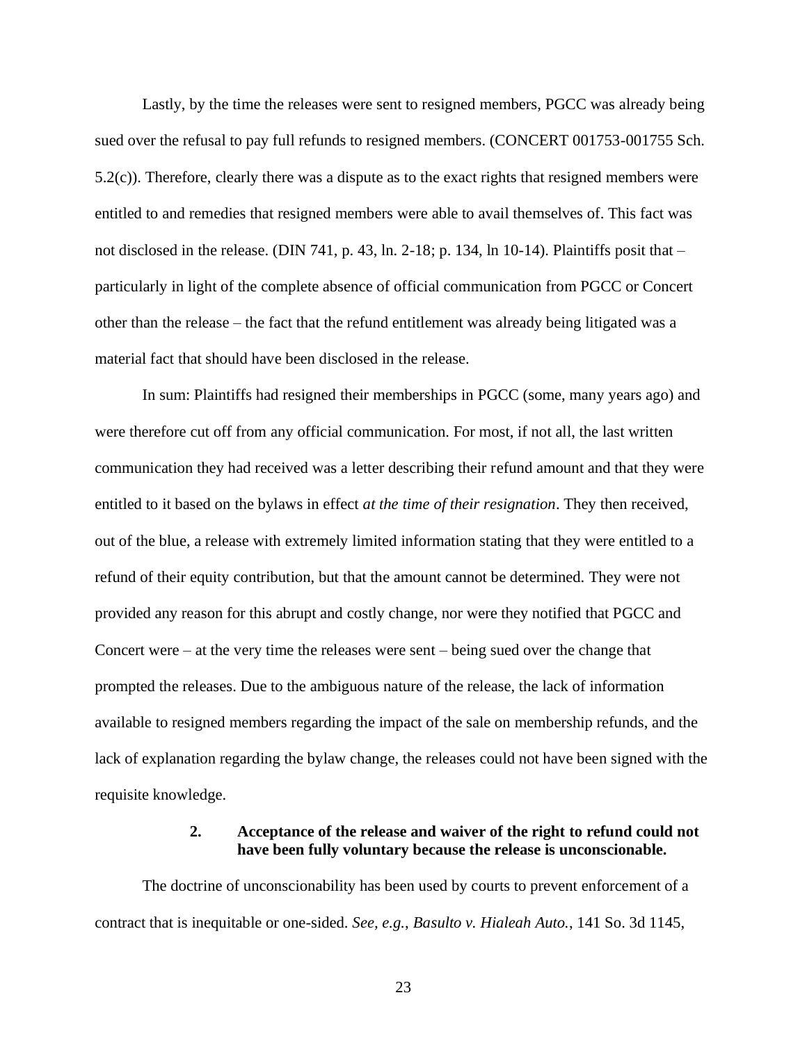Lastly, by the time the releases were sent to resigned members, PGCC was already being sued over the refusal to pay full refunds to resigned members. (CONCERT 001753-001755 Sch. 5.2(c)). Therefore, clearly there was a dispute as to the exact rights that resigned members were entitled to and remedies that resigned members were able to avail themselves of. This fact was not disclosed in the release. (DIN 741, p. 43, ln. 2-18; p. 134, ln 10-14). Plaintiffs posit that – particularly in light of the complete absence of official communication from PGCC or Concert other than the release – the fact that the refund entitlement was already being litigated was a material fact that should have been disclosed in the release.

In sum: Plaintiffs had resigned their memberships in PGCC (some, many years ago) and were therefore cut off from any official communication. For most, if not all, the last written communication they had received was a letter describing their refund amount and that they were entitled to it based on the bylaws in effect *at the time of their resignation*. They then received, out of the blue, a release with extremely limited information stating that they were entitled to a refund of their equity contribution, but that the amount cannot be determined. They were not provided any reason for this abrupt and costly change, nor were they notified that PGCC and Concert were – at the very time the releases were sent – being sued over the change that prompted the releases. Due to the ambiguous nature of the release, the lack of information available to resigned members regarding the impact of the sale on membership refunds, and the lack of explanation regarding the bylaw change, the releases could not have been signed with the requisite knowledge.

### **2. Acceptance of the release and waiver of the right to refund could not have been fully voluntary because the release is unconscionable.**

The doctrine of unconscionability has been used by courts to prevent enforcement of a contract that is inequitable or one-sided. *See, e.g.*, *Basulto v. Hialeah Auto.*, 141 So. 3d 1145,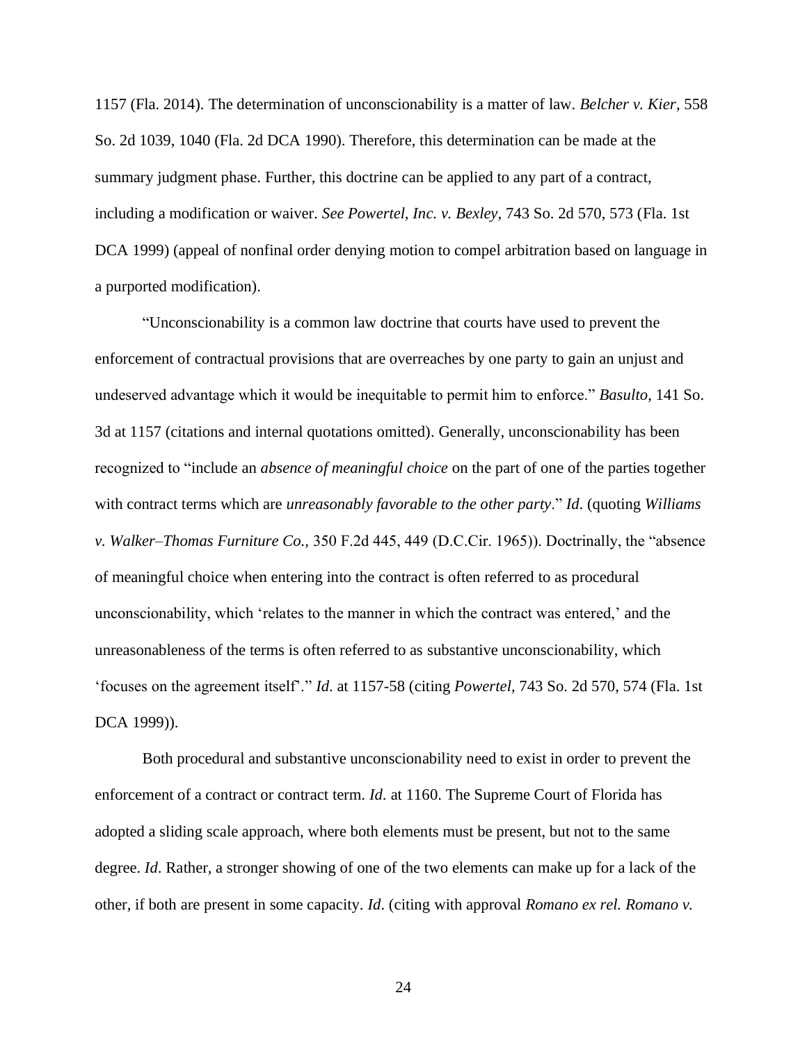1157 (Fla. 2014). The determination of unconscionability is a matter of law. *Belcher v. Kier*, 558 So. 2d 1039, 1040 (Fla. 2d DCA 1990). Therefore, this determination can be made at the summary judgment phase. Further, this doctrine can be applied to any part of a contract, including a modification or waiver. *See Powertel, Inc. v. Bexley*, 743 So. 2d 570, 573 (Fla. 1st DCA 1999) (appeal of nonfinal order denying motion to compel arbitration based on language in a purported modification).

"Unconscionability is a common law doctrine that courts have used to prevent the enforcement of contractual provisions that are overreaches by one party to gain an unjust and undeserved advantage which it would be inequitable to permit him to enforce." *Basulto*, 141 So. 3d at 1157 (citations and internal quotations omitted). Generally, unconscionability has been recognized to "include an *absence of meaningful choice* on the part of one of the parties together with contract terms which are *unreasonably favorable to the other party*." *Id*. (quoting *Williams v. Walker–Thomas Furniture Co.,* 350 F.2d 445, 449 (D.C.Cir. 1965)). Doctrinally, the "absence of meaningful choice when entering into the contract is often referred to as procedural unconscionability, which 'relates to the manner in which the contract was entered,' and the unreasonableness of the terms is often referred to as substantive unconscionability, which 'focuses on the agreement itself'." *Id*. at 1157-58 (citing *Powertel*, 743 So. 2d 570, 574 (Fla. 1st DCA 1999)).

Both procedural and substantive unconscionability need to exist in order to prevent the enforcement of a contract or contract term. *Id*. at 1160. The Supreme Court of Florida has adopted a sliding scale approach, where both elements must be present, but not to the same degree. *Id*. Rather, a stronger showing of one of the two elements can make up for a lack of the other, if both are present in some capacity. *Id*. (citing with approval *Romano ex rel. Romano v.*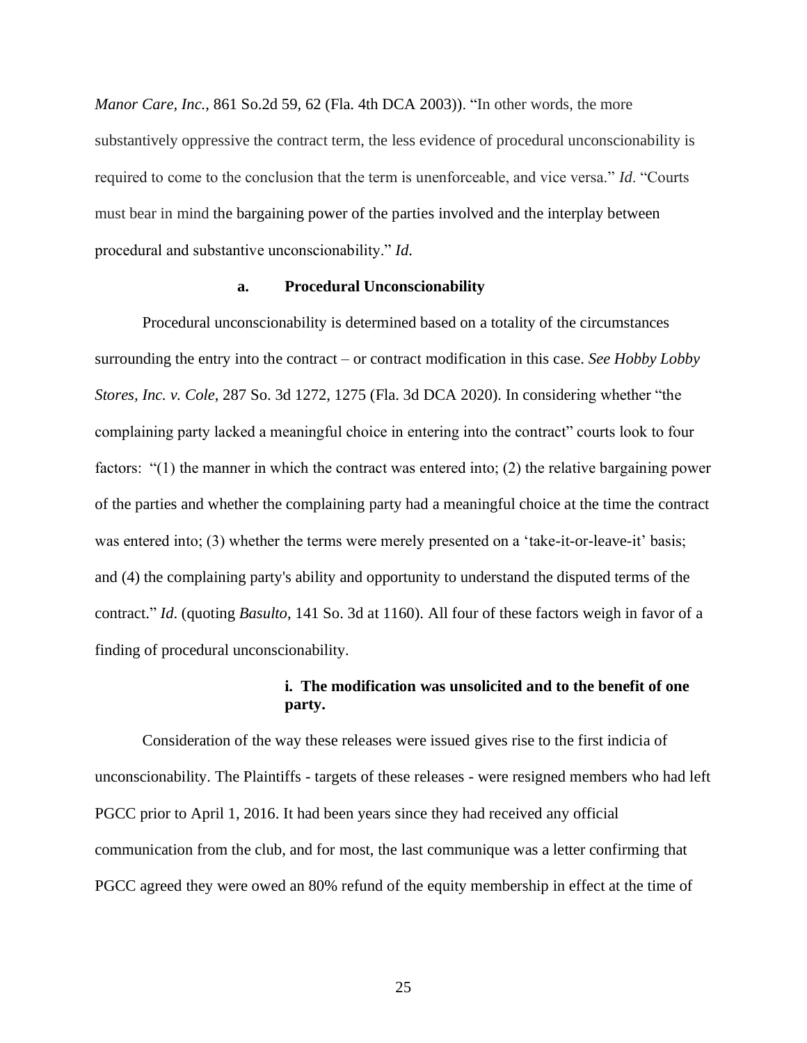*Manor Care, Inc.,* 861 So.2d 59, 62 (Fla. 4th DCA 2003)). "In other words, the more substantively oppressive the contract term, the less evidence of procedural unconscionability is required to come to the conclusion that the term is unenforceable, and vice versa." *Id*. "Courts must bear in mind the bargaining power of the parties involved and the interplay between procedural and substantive unconscionability." *Id*.

### **a. Procedural Unconscionability**

Procedural unconscionability is determined based on a totality of the circumstances surrounding the entry into the contract – or contract modification in this case. *See Hobby Lobby Stores, Inc. v. Cole*, 287 So. 3d 1272, 1275 (Fla. 3d DCA 2020). In considering whether "the complaining party lacked a meaningful choice in entering into the contract" courts look to four factors: "(1) the manner in which the contract was entered into; (2) the relative bargaining power of the parties and whether the complaining party had a meaningful choice at the time the contract was entered into; (3) whether the terms were merely presented on a 'take-it-or-leave-it' basis; and (4) the complaining party's ability and opportunity to understand the disputed terms of the contract." *Id*. (quoting *Basulto*, 141 So. 3d at 1160). All four of these factors weigh in favor of a finding of procedural unconscionability.

### **i. The modification was unsolicited and to the benefit of one party.**

Consideration of the way these releases were issued gives rise to the first indicia of unconscionability. The Plaintiffs - targets of these releases - were resigned members who had left PGCC prior to April 1, 2016. It had been years since they had received any official communication from the club, and for most, the last communique was a letter confirming that PGCC agreed they were owed an 80% refund of the equity membership in effect at the time of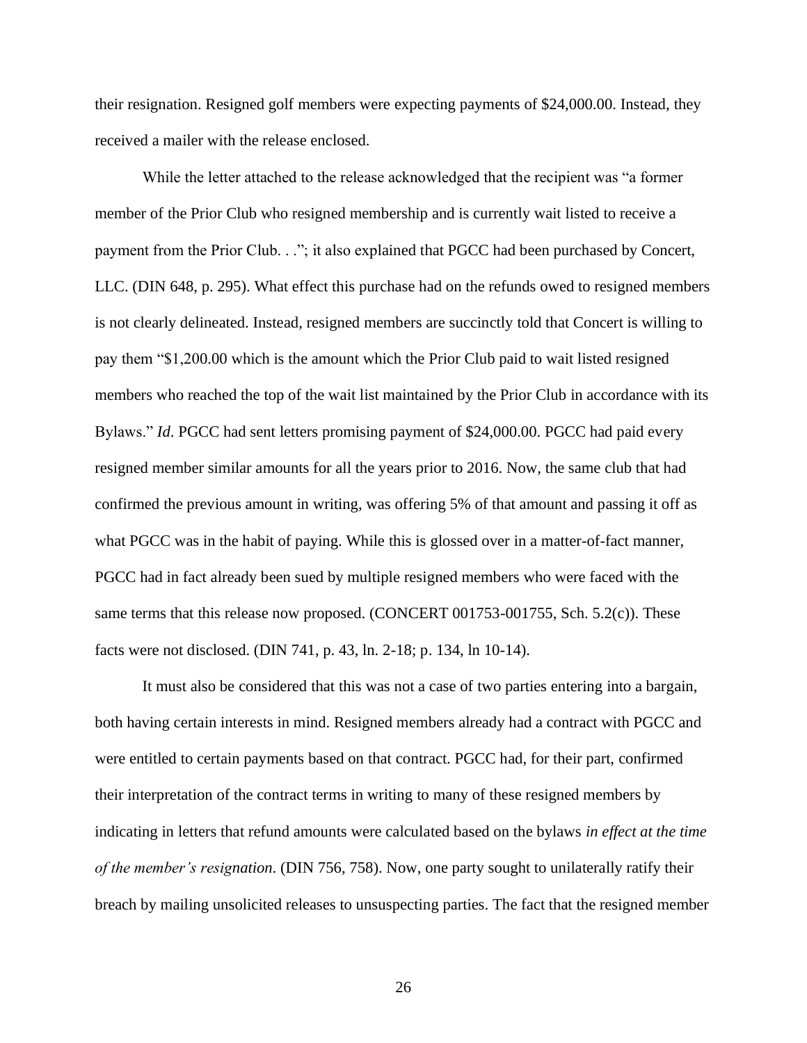their resignation. Resigned golf members were expecting payments of \$24,000.00. Instead, they received a mailer with the release enclosed.

While the letter attached to the release acknowledged that the recipient was "a former member of the Prior Club who resigned membership and is currently wait listed to receive a payment from the Prior Club. . ."; it also explained that PGCC had been purchased by Concert, LLC. (DIN 648, p. 295). What effect this purchase had on the refunds owed to resigned members is not clearly delineated. Instead, resigned members are succinctly told that Concert is willing to pay them "\$1,200.00 which is the amount which the Prior Club paid to wait listed resigned members who reached the top of the wait list maintained by the Prior Club in accordance with its Bylaws." *Id*. PGCC had sent letters promising payment of \$24,000.00. PGCC had paid every resigned member similar amounts for all the years prior to 2016. Now, the same club that had confirmed the previous amount in writing, was offering 5% of that amount and passing it off as what PGCC was in the habit of paying. While this is glossed over in a matter-of-fact manner, PGCC had in fact already been sued by multiple resigned members who were faced with the same terms that this release now proposed. (CONCERT 001753-001755, Sch. 5.2(c)). These facts were not disclosed. (DIN 741, p. 43, ln. 2-18; p. 134, ln 10-14).

It must also be considered that this was not a case of two parties entering into a bargain, both having certain interests in mind. Resigned members already had a contract with PGCC and were entitled to certain payments based on that contract. PGCC had, for their part, confirmed their interpretation of the contract terms in writing to many of these resigned members by indicating in letters that refund amounts were calculated based on the bylaws *in effect at the time of the member's resignation*. (DIN 756, 758). Now, one party sought to unilaterally ratify their breach by mailing unsolicited releases to unsuspecting parties. The fact that the resigned member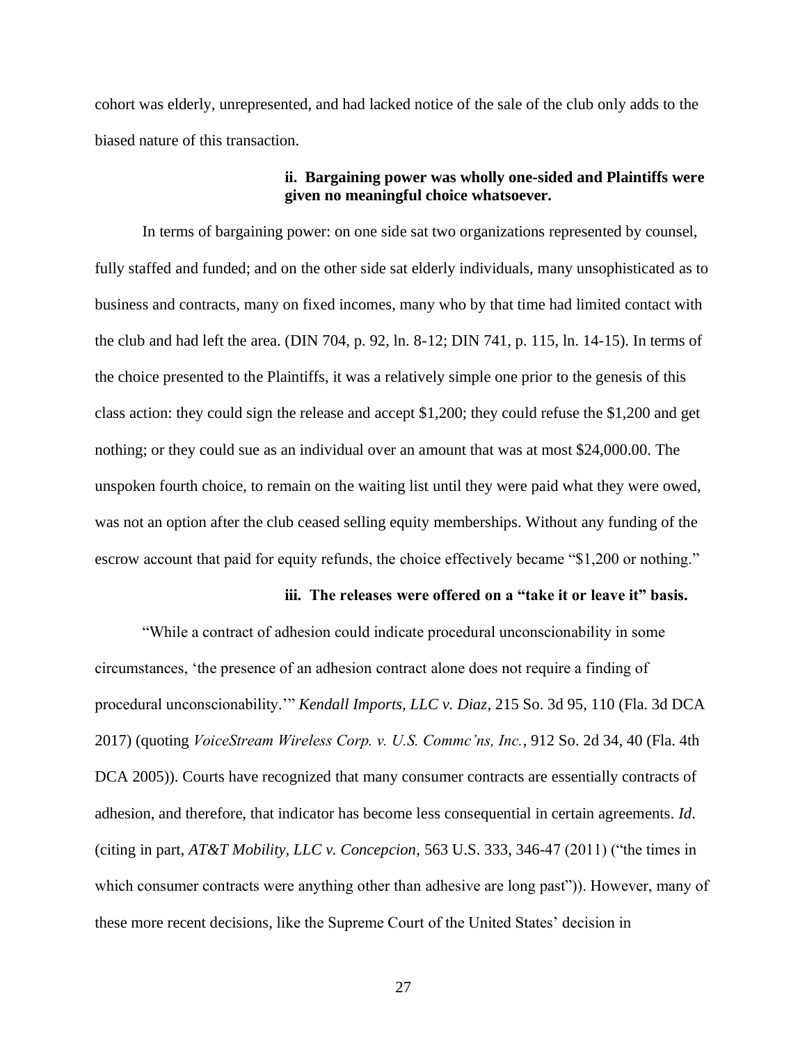cohort was elderly, unrepresented, and had lacked notice of the sale of the club only adds to the biased nature of this transaction.

### **ii. Bargaining power was wholly one-sided and Plaintiffs were given no meaningful choice whatsoever.**

In terms of bargaining power: on one side sat two organizations represented by counsel, fully staffed and funded; and on the other side sat elderly individuals, many unsophisticated as to business and contracts, many on fixed incomes, many who by that time had limited contact with the club and had left the area. (DIN 704, p. 92, ln. 8-12; DIN 741, p. 115, ln. 14-15). In terms of the choice presented to the Plaintiffs, it was a relatively simple one prior to the genesis of this class action: they could sign the release and accept \$1,200; they could refuse the \$1,200 and get nothing; or they could sue as an individual over an amount that was at most \$24,000.00. The unspoken fourth choice, to remain on the waiting list until they were paid what they were owed, was not an option after the club ceased selling equity memberships. Without any funding of the escrow account that paid for equity refunds, the choice effectively became "\$1,200 or nothing."

### **iii. The releases were offered on a "take it or leave it" basis.**

"While a contract of adhesion could indicate procedural unconscionability in some circumstances, 'the presence of an adhesion contract alone does not require a finding of procedural unconscionability.'" *Kendall Imports, LLC v. Diaz*, 215 So. 3d 95, 110 (Fla. 3d DCA 2017) (quoting *VoiceStream Wireless Corp. v. U.S. Commc'ns, Inc.*, 912 So. 2d 34, 40 (Fla. 4th DCA 2005)). Courts have recognized that many consumer contracts are essentially contracts of adhesion, and therefore, that indicator has become less consequential in certain agreements. *Id*. (citing in part, *AT&T Mobility, LLC v. Concepcion*, 563 U.S. 333, 346-47 (2011) ("the times in which consumer contracts were anything other than adhesive are long past")). However, many of these more recent decisions, like the Supreme Court of the United States' decision in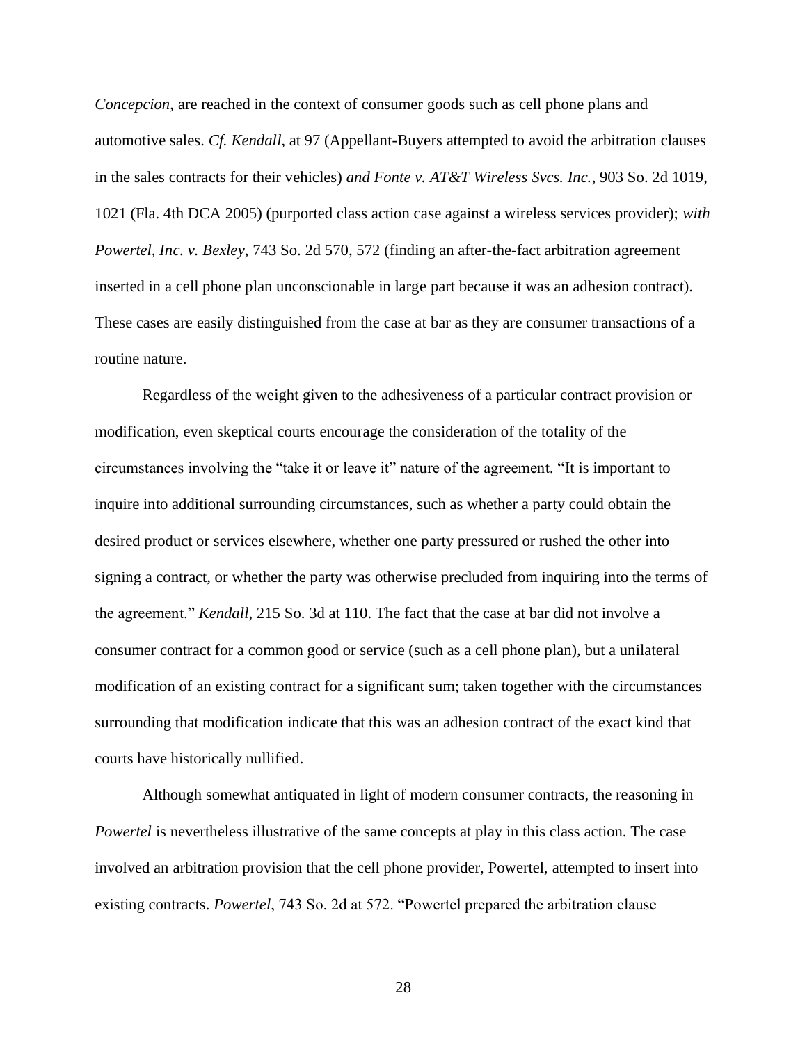*Concepcion*, are reached in the context of consumer goods such as cell phone plans and automotive sales. *Cf. Kendall*, at 97 (Appellant-Buyers attempted to avoid the arbitration clauses in the sales contracts for their vehicles) *and Fonte v. AT&T Wireless Svcs. Inc.*, 903 So. 2d 1019, 1021 (Fla. 4th DCA 2005) (purported class action case against a wireless services provider); *with Powertel, Inc. v. Bexley*, 743 So. 2d 570, 572 (finding an after-the-fact arbitration agreement inserted in a cell phone plan unconscionable in large part because it was an adhesion contract). These cases are easily distinguished from the case at bar as they are consumer transactions of a routine nature.

Regardless of the weight given to the adhesiveness of a particular contract provision or modification, even skeptical courts encourage the consideration of the totality of the circumstances involving the "take it or leave it" nature of the agreement. "It is important to inquire into additional surrounding circumstances, such as whether a party could obtain the desired product or services elsewhere, whether one party pressured or rushed the other into signing a contract, or whether the party was otherwise precluded from inquiring into the terms of the agreement." *Kendall*, 215 So. 3d at 110. The fact that the case at bar did not involve a consumer contract for a common good or service (such as a cell phone plan), but a unilateral modification of an existing contract for a significant sum; taken together with the circumstances surrounding that modification indicate that this was an adhesion contract of the exact kind that courts have historically nullified.

Although somewhat antiquated in light of modern consumer contracts, the reasoning in *Powertel* is nevertheless illustrative of the same concepts at play in this class action. The case involved an arbitration provision that the cell phone provider, Powertel, attempted to insert into existing contracts. *Powertel*, 743 So. 2d at 572. "Powertel prepared the arbitration clause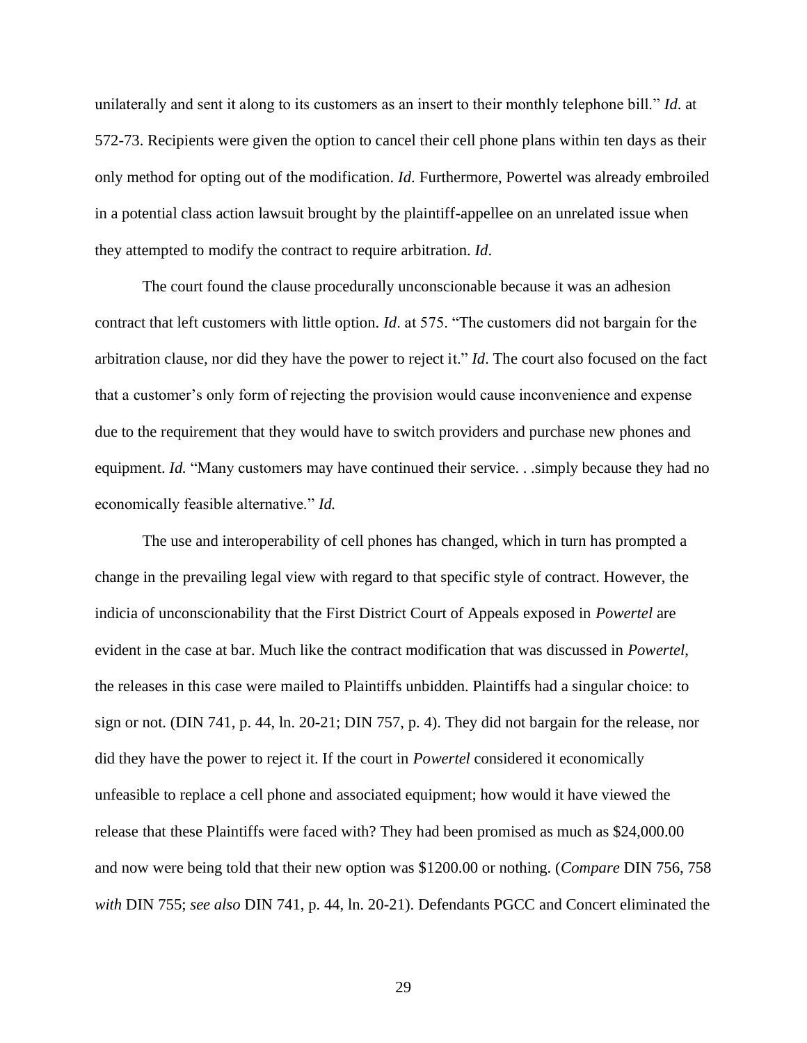unilaterally and sent it along to its customers as an insert to their monthly telephone bill." *Id*. at 572-73. Recipients were given the option to cancel their cell phone plans within ten days as their only method for opting out of the modification. *Id*. Furthermore, Powertel was already embroiled in a potential class action lawsuit brought by the plaintiff-appellee on an unrelated issue when they attempted to modify the contract to require arbitration. *Id*.

The court found the clause procedurally unconscionable because it was an adhesion contract that left customers with little option. *Id*. at 575. "The customers did not bargain for the arbitration clause, nor did they have the power to reject it." *Id*. The court also focused on the fact that a customer's only form of rejecting the provision would cause inconvenience and expense due to the requirement that they would have to switch providers and purchase new phones and equipment. *Id.* "Many customers may have continued their service. . .simply because they had no economically feasible alternative." *Id.*

The use and interoperability of cell phones has changed, which in turn has prompted a change in the prevailing legal view with regard to that specific style of contract. However, the indicia of unconscionability that the First District Court of Appeals exposed in *Powertel* are evident in the case at bar. Much like the contract modification that was discussed in *Powertel*, the releases in this case were mailed to Plaintiffs unbidden. Plaintiffs had a singular choice: to sign or not. (DIN 741, p. 44, ln. 20-21; DIN 757, p. 4). They did not bargain for the release, nor did they have the power to reject it. If the court in *Powertel* considered it economically unfeasible to replace a cell phone and associated equipment; how would it have viewed the release that these Plaintiffs were faced with? They had been promised as much as \$24,000.00 and now were being told that their new option was \$1200.00 or nothing. (*Compare* DIN 756, 758 *with* DIN 755; *see also* DIN 741, p. 44, ln. 20-21). Defendants PGCC and Concert eliminated the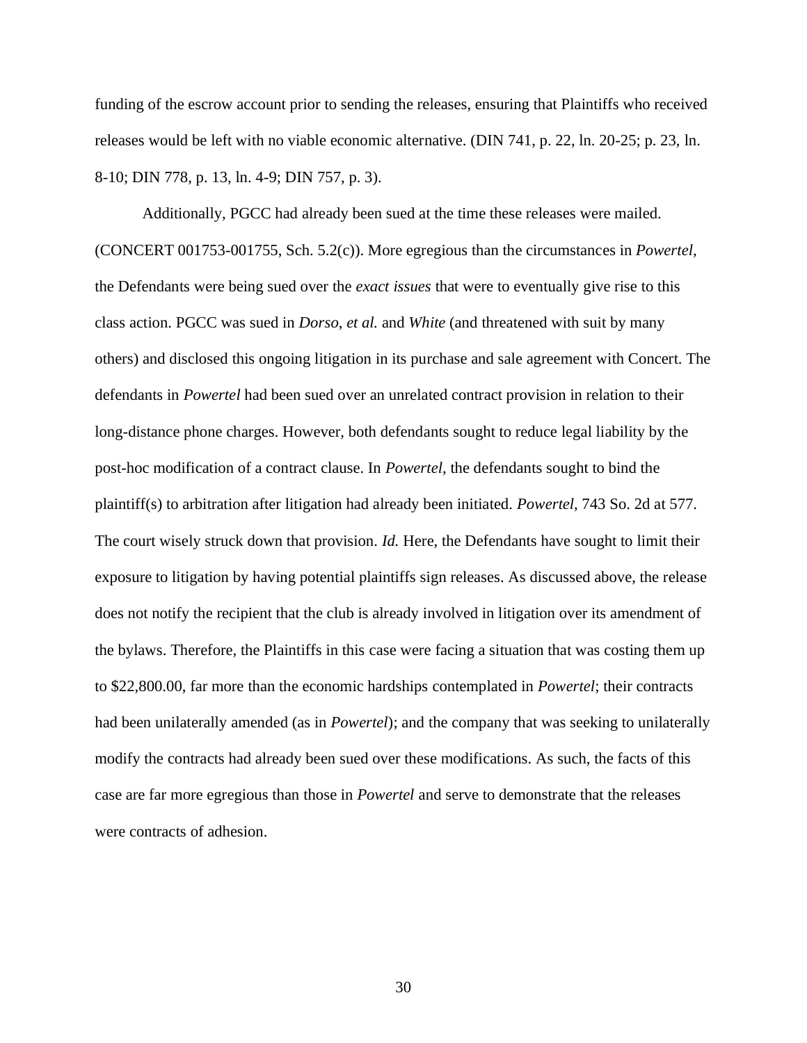funding of the escrow account prior to sending the releases, ensuring that Plaintiffs who received releases would be left with no viable economic alternative. (DIN 741, p. 22, ln. 20-25; p. 23, ln. 8-10; DIN 778, p. 13, ln. 4-9; DIN 757, p. 3).

Additionally, PGCC had already been sued at the time these releases were mailed. (CONCERT 001753-001755, Sch. 5.2(c)). More egregious than the circumstances in *Powertel*, the Defendants were being sued over the *exact issues* that were to eventually give rise to this class action. PGCC was sued in *Dorso*, *et al.* and *White* (and threatened with suit by many others) and disclosed this ongoing litigation in its purchase and sale agreement with Concert. The defendants in *Powertel* had been sued over an unrelated contract provision in relation to their long-distance phone charges. However, both defendants sought to reduce legal liability by the post-hoc modification of a contract clause. In *Powertel*, the defendants sought to bind the plaintiff(s) to arbitration after litigation had already been initiated. *Powertel*, 743 So. 2d at 577. The court wisely struck down that provision. *Id.* Here, the Defendants have sought to limit their exposure to litigation by having potential plaintiffs sign releases. As discussed above, the release does not notify the recipient that the club is already involved in litigation over its amendment of the bylaws. Therefore, the Plaintiffs in this case were facing a situation that was costing them up to \$22,800.00, far more than the economic hardships contemplated in *Powertel*; their contracts had been unilaterally amended (as in *Powertel*); and the company that was seeking to unilaterally modify the contracts had already been sued over these modifications. As such, the facts of this case are far more egregious than those in *Powertel* and serve to demonstrate that the releases were contracts of adhesion.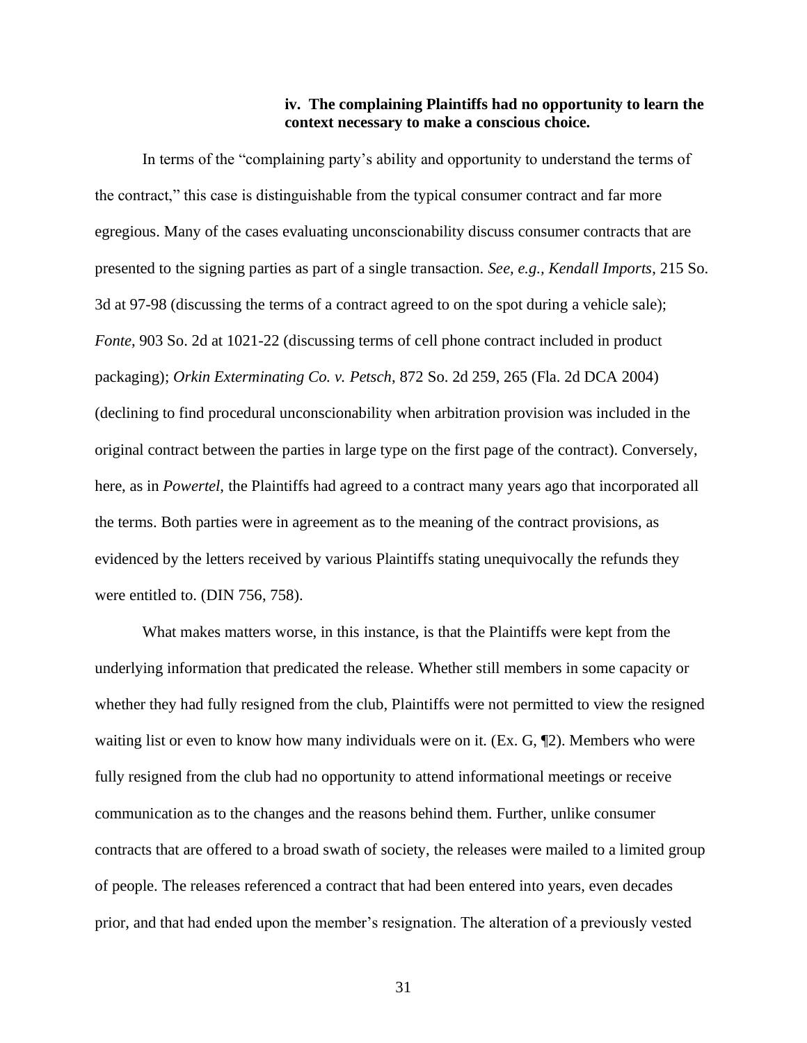### **iv. The complaining Plaintiffs had no opportunity to learn the context necessary to make a conscious choice.**

In terms of the "complaining party's ability and opportunity to understand the terms of the contract," this case is distinguishable from the typical consumer contract and far more egregious. Many of the cases evaluating unconscionability discuss consumer contracts that are presented to the signing parties as part of a single transaction. *See, e.g., Kendall Imports*, 215 So. 3d at 97-98 (discussing the terms of a contract agreed to on the spot during a vehicle sale); *Fonte*, 903 So. 2d at 1021-22 (discussing terms of cell phone contract included in product packaging); *Orkin Exterminating Co. v. Petsch*, 872 So. 2d 259, 265 (Fla. 2d DCA 2004) (declining to find procedural unconscionability when arbitration provision was included in the original contract between the parties in large type on the first page of the contract). Conversely, here, as in *Powertel*, the Plaintiffs had agreed to a contract many years ago that incorporated all the terms. Both parties were in agreement as to the meaning of the contract provisions, as evidenced by the letters received by various Plaintiffs stating unequivocally the refunds they were entitled to. (DIN 756, 758).

What makes matters worse, in this instance, is that the Plaintiffs were kept from the underlying information that predicated the release. Whether still members in some capacity or whether they had fully resigned from the club, Plaintiffs were not permitted to view the resigned waiting list or even to know how many individuals were on it. (Ex. G, ¶2). Members who were fully resigned from the club had no opportunity to attend informational meetings or receive communication as to the changes and the reasons behind them. Further, unlike consumer contracts that are offered to a broad swath of society, the releases were mailed to a limited group of people. The releases referenced a contract that had been entered into years, even decades prior, and that had ended upon the member's resignation. The alteration of a previously vested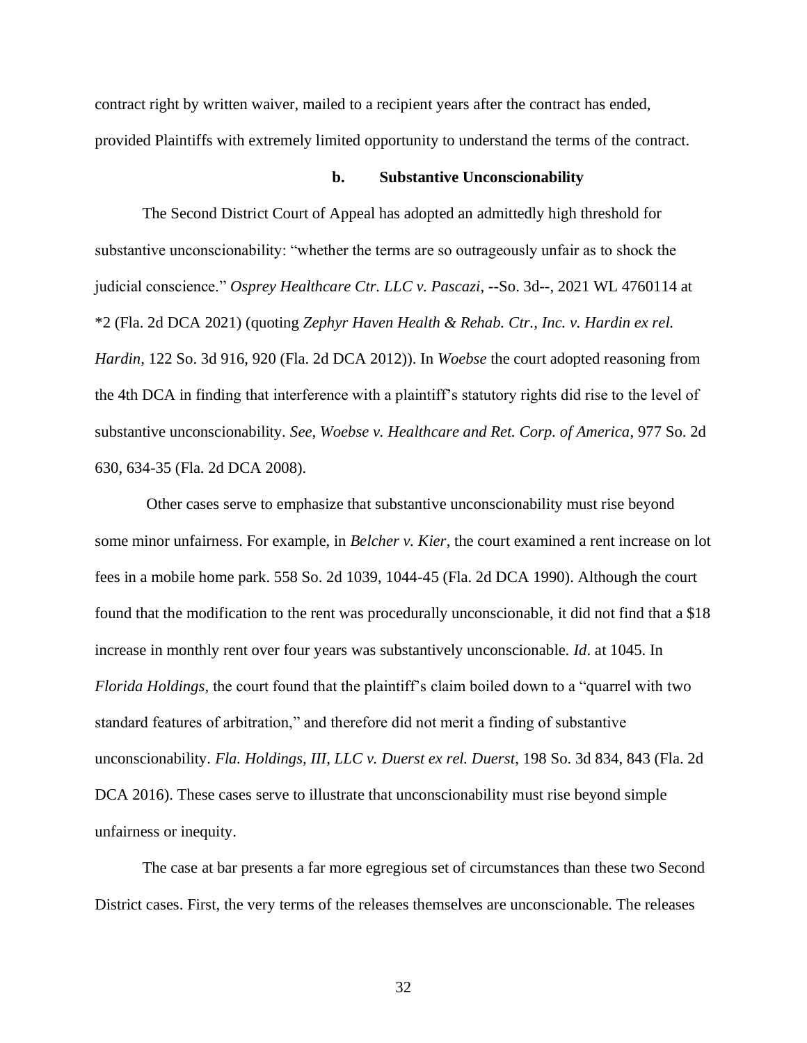contract right by written waiver, mailed to a recipient years after the contract has ended, provided Plaintiffs with extremely limited opportunity to understand the terms of the contract.

#### **b. Substantive Unconscionability**

The Second District Court of Appeal has adopted an admittedly high threshold for substantive unconscionability: "whether the terms are so outrageously unfair as to shock the judicial conscience." *Osprey Healthcare Ctr. LLC v. Pascazi*, --So. 3d--, 2021 WL 4760114 at \*2 (Fla. 2d DCA 2021) (quoting *Zephyr Haven Health & Rehab. Ctr., Inc. v. Hardin ex rel. Hardin*, 122 So. 3d 916, 920 (Fla. 2d DCA 2012)). In *Woebse* the court adopted reasoning from the 4th DCA in finding that interference with a plaintiff's statutory rights did rise to the level of substantive unconscionability. *See, Woebse v. Healthcare and Ret. Corp. of America*, 977 So. 2d 630, 634-35 (Fla. 2d DCA 2008).

Other cases serve to emphasize that substantive unconscionability must rise beyond some minor unfairness. For example, in *Belcher v. Kier*, the court examined a rent increase on lot fees in a mobile home park. 558 So. 2d 1039, 1044-45 (Fla. 2d DCA 1990). Although the court found that the modification to the rent was procedurally unconscionable, it did not find that a \$18 increase in monthly rent over four years was substantively unconscionable. *Id*. at 1045. In *Florida Holdings,* the court found that the plaintiff's claim boiled down to a "quarrel with two standard features of arbitration," and therefore did not merit a finding of substantive unconscionability. *Fla. Holdings, III, LLC v. Duerst ex rel. Duerst*, 198 So. 3d 834, 843 (Fla. 2d DCA 2016). These cases serve to illustrate that unconscionability must rise beyond simple unfairness or inequity.

The case at bar presents a far more egregious set of circumstances than these two Second District cases. First, the very terms of the releases themselves are unconscionable. The releases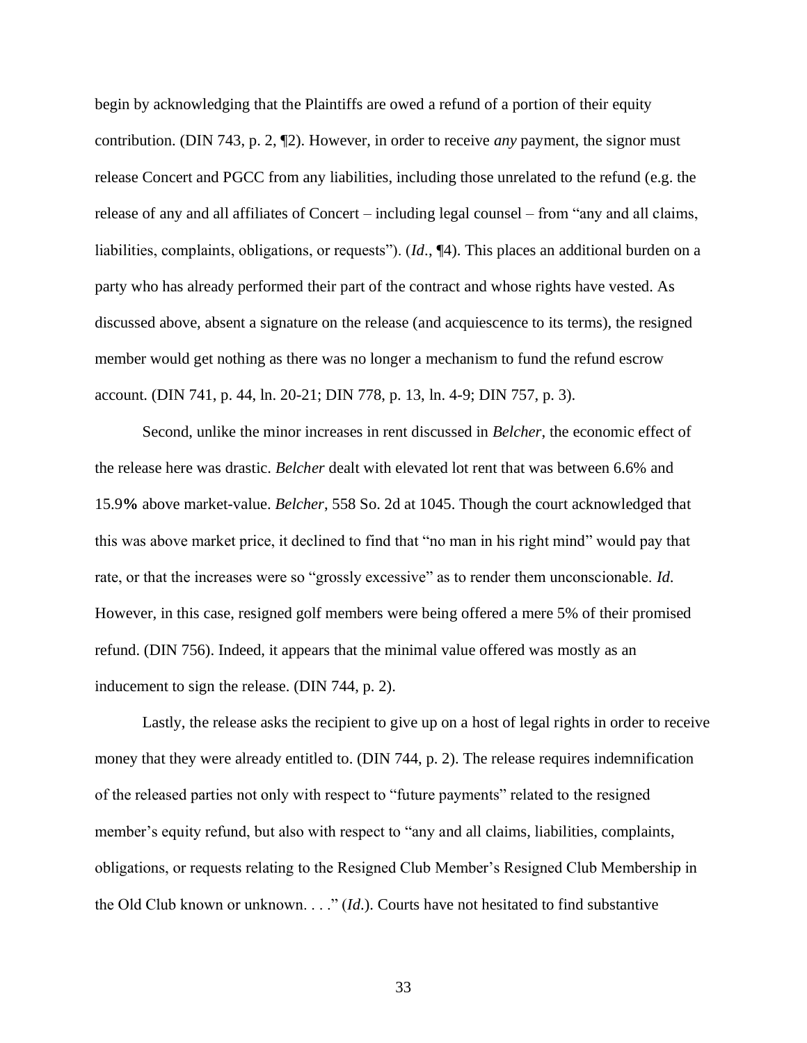begin by acknowledging that the Plaintiffs are owed a refund of a portion of their equity contribution. (DIN 743, p. 2, ¶2). However, in order to receive *any* payment, the signor must release Concert and PGCC from any liabilities, including those unrelated to the refund (e.g. the release of any and all affiliates of Concert – including legal counsel – from "any and all claims, liabilities, complaints, obligations, or requests"). (*Id*., ¶4). This places an additional burden on a party who has already performed their part of the contract and whose rights have vested. As discussed above, absent a signature on the release (and acquiescence to its terms), the resigned member would get nothing as there was no longer a mechanism to fund the refund escrow account. (DIN 741, p. 44, ln. 20-21; DIN 778, p. 13, ln. 4-9; DIN 757, p. 3).

Second, unlike the minor increases in rent discussed in *Belcher*, the economic effect of the release here was drastic. *Belcher* dealt with elevated lot rent that was between 6.6% and 15.9**%** above market-value. *Belcher*, 558 So. 2d at 1045. Though the court acknowledged that this was above market price, it declined to find that "no man in his right mind" would pay that rate, or that the increases were so "grossly excessive" as to render them unconscionable. *Id*. However, in this case, resigned golf members were being offered a mere 5% of their promised refund. (DIN 756). Indeed, it appears that the minimal value offered was mostly as an inducement to sign the release. (DIN 744, p. 2).

Lastly, the release asks the recipient to give up on a host of legal rights in order to receive money that they were already entitled to. (DIN 744, p. 2). The release requires indemnification of the released parties not only with respect to "future payments" related to the resigned member's equity refund, but also with respect to "any and all claims, liabilities, complaints, obligations, or requests relating to the Resigned Club Member's Resigned Club Membership in the Old Club known or unknown. . . ." (*Id*.). Courts have not hesitated to find substantive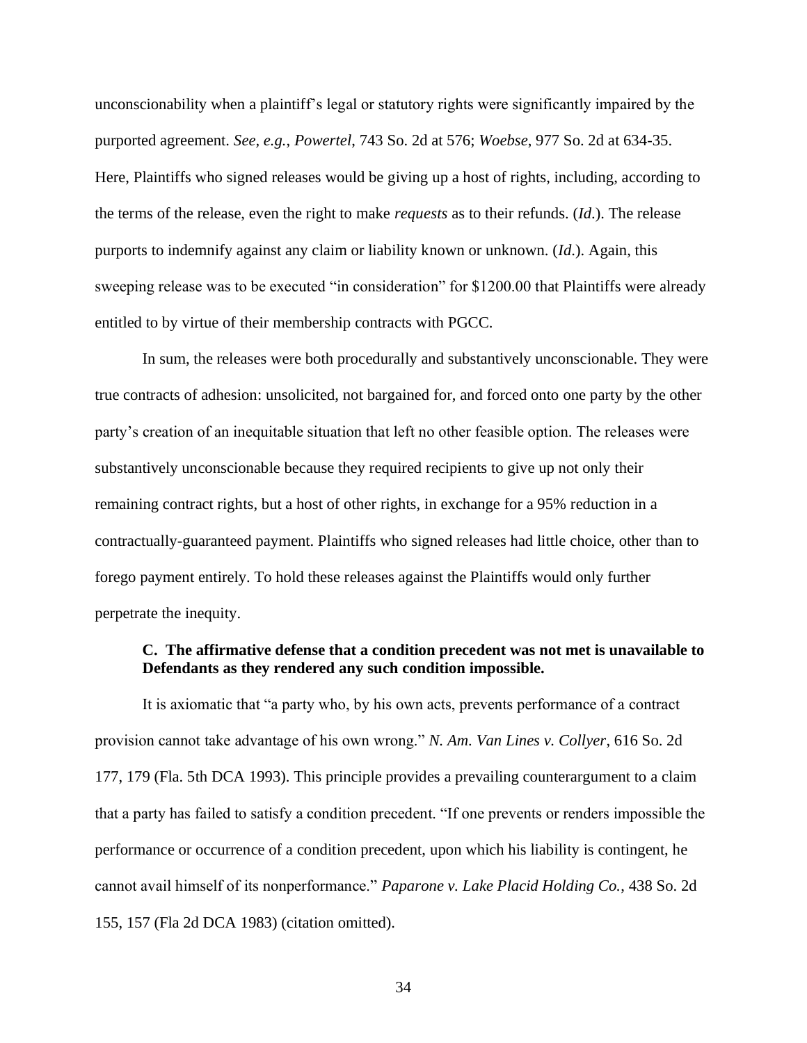unconscionability when a plaintiff's legal or statutory rights were significantly impaired by the purported agreement. *See, e.g.*, *Powertel*, 743 So. 2d at 576; *Woebse*, 977 So. 2d at 634-35. Here, Plaintiffs who signed releases would be giving up a host of rights, including, according to the terms of the release, even the right to make *requests* as to their refunds. (*Id*.). The release purports to indemnify against any claim or liability known or unknown. (*Id*.). Again, this sweeping release was to be executed "in consideration" for \$1200.00 that Plaintiffs were already entitled to by virtue of their membership contracts with PGCC.

In sum, the releases were both procedurally and substantively unconscionable. They were true contracts of adhesion: unsolicited, not bargained for, and forced onto one party by the other party's creation of an inequitable situation that left no other feasible option. The releases were substantively unconscionable because they required recipients to give up not only their remaining contract rights, but a host of other rights, in exchange for a 95% reduction in a contractually-guaranteed payment. Plaintiffs who signed releases had little choice, other than to forego payment entirely. To hold these releases against the Plaintiffs would only further perpetrate the inequity.

### **C. The affirmative defense that a condition precedent was not met is unavailable to Defendants as they rendered any such condition impossible.**

It is axiomatic that "a party who, by his own acts, prevents performance of a contract provision cannot take advantage of his own wrong." *N. Am. Van Lines v. Collyer*, 616 So. 2d 177, 179 (Fla. 5th DCA 1993). This principle provides a prevailing counterargument to a claim that a party has failed to satisfy a condition precedent. "If one prevents or renders impossible the performance or occurrence of a condition precedent, upon which his liability is contingent, he cannot avail himself of its nonperformance." *Paparone v. Lake Placid Holding Co.*, 438 So. 2d 155, 157 (Fla 2d DCA 1983) (citation omitted).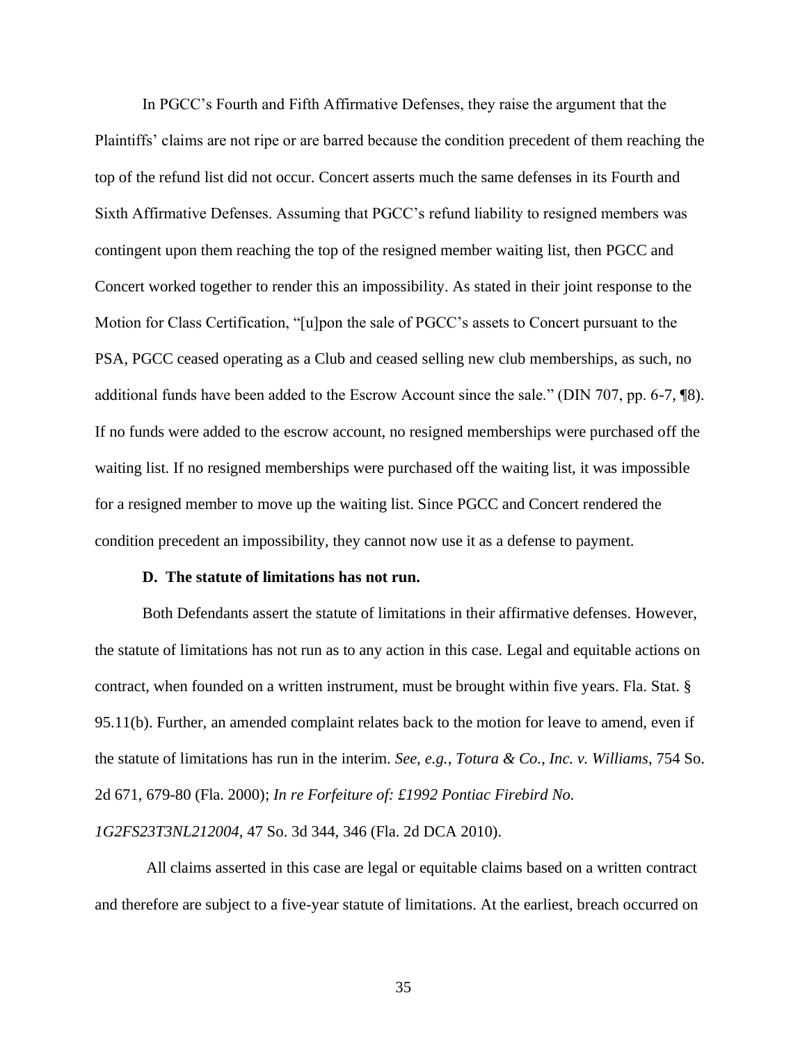In PGCC's Fourth and Fifth Affirmative Defenses, they raise the argument that the Plaintiffs' claims are not ripe or are barred because the condition precedent of them reaching the top of the refund list did not occur. Concert asserts much the same defenses in its Fourth and Sixth Affirmative Defenses. Assuming that PGCC's refund liability to resigned members was contingent upon them reaching the top of the resigned member waiting list, then PGCC and Concert worked together to render this an impossibility. As stated in their joint response to the Motion for Class Certification, "[u]pon the sale of PGCC's assets to Concert pursuant to the PSA, PGCC ceased operating as a Club and ceased selling new club memberships, as such, no additional funds have been added to the Escrow Account since the sale." (DIN 707, pp. 6-7, ¶8). If no funds were added to the escrow account, no resigned memberships were purchased off the waiting list. If no resigned memberships were purchased off the waiting list, it was impossible for a resigned member to move up the waiting list. Since PGCC and Concert rendered the condition precedent an impossibility, they cannot now use it as a defense to payment.

### **D. The statute of limitations has not run.**

Both Defendants assert the statute of limitations in their affirmative defenses. However, the statute of limitations has not run as to any action in this case. Legal and equitable actions on contract, when founded on a written instrument, must be brought within five years. Fla. Stat. § 95.11(b). Further, an amended complaint relates back to the motion for leave to amend, even if the statute of limitations has run in the interim. *See, e.g.*, *Totura & Co.*, *Inc. v. Williams*, 754 So. 2d 671, 679-80 (Fla. 2000); *In re Forfeiture of: £1992 Pontiac Firebird No.* 

*1G2FS23T3NL212004*, 47 So. 3d 344, 346 (Fla. 2d DCA 2010).

All claims asserted in this case are legal or equitable claims based on a written contract and therefore are subject to a five-year statute of limitations. At the earliest, breach occurred on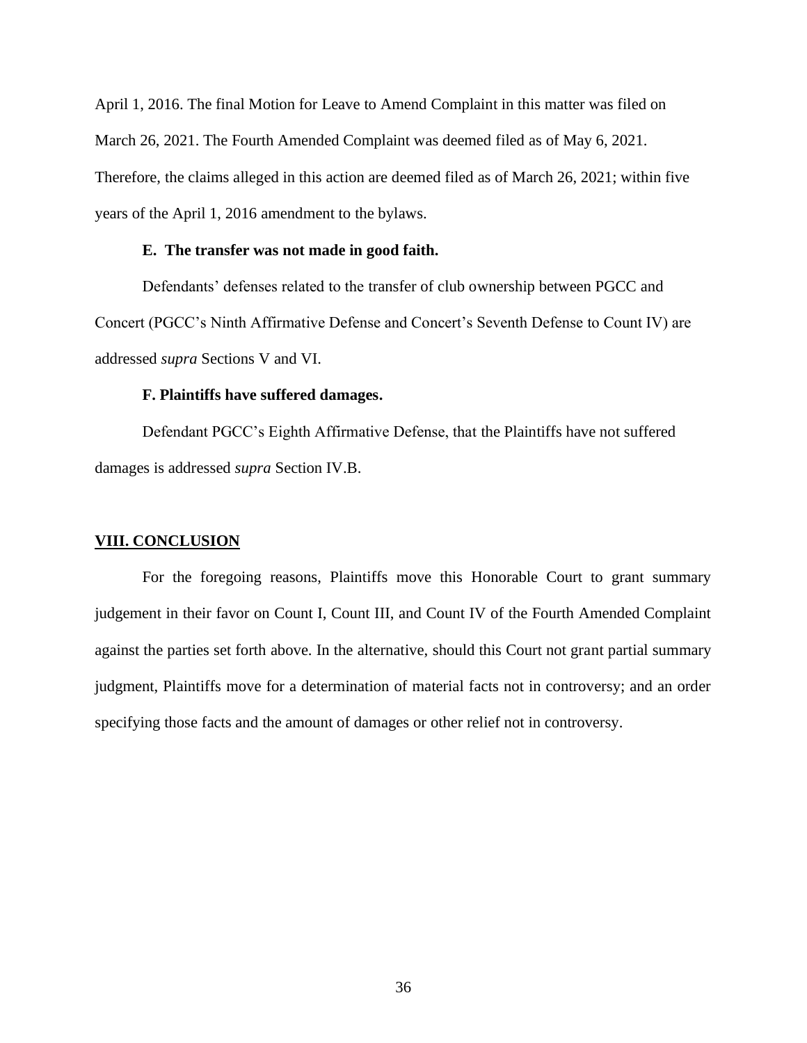April 1, 2016. The final Motion for Leave to Amend Complaint in this matter was filed on March 26, 2021. The Fourth Amended Complaint was deemed filed as of May 6, 2021. Therefore, the claims alleged in this action are deemed filed as of March 26, 2021; within five years of the April 1, 2016 amendment to the bylaws.

### **E. The transfer was not made in good faith.**

Defendants' defenses related to the transfer of club ownership between PGCC and Concert (PGCC's Ninth Affirmative Defense and Concert's Seventh Defense to Count IV) are addressed *supra* Sections V and VI.

### **F. Plaintiffs have suffered damages.**

Defendant PGCC's Eighth Affirmative Defense, that the Plaintiffs have not suffered damages is addressed *supra* Section IV.B.

#### **VIII. CONCLUSION**

For the foregoing reasons, Plaintiffs move this Honorable Court to grant summary judgement in their favor on Count I, Count III, and Count IV of the Fourth Amended Complaint against the parties set forth above. In the alternative, should this Court not grant partial summary judgment, Plaintiffs move for a determination of material facts not in controversy; and an order specifying those facts and the amount of damages or other relief not in controversy.